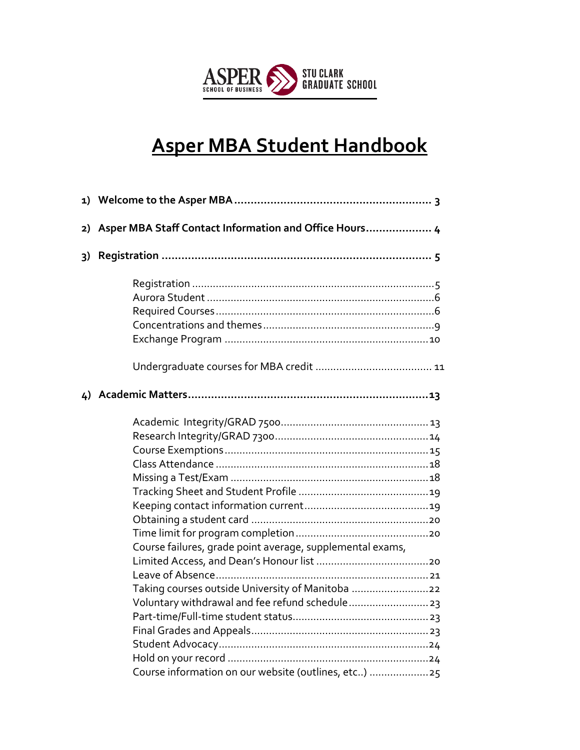

# **Asper MBA Student Handbook**

| 2) | Asper MBA Staff Contact Information and Office Hours 4                                                                                                                |
|----|-----------------------------------------------------------------------------------------------------------------------------------------------------------------------|
| 3) |                                                                                                                                                                       |
|    |                                                                                                                                                                       |
|    |                                                                                                                                                                       |
|    | Course failures, grade point average, supplemental exams,<br>Taking courses outside University of Manitoba 22<br>Course information on our website (outlines, etc) 25 |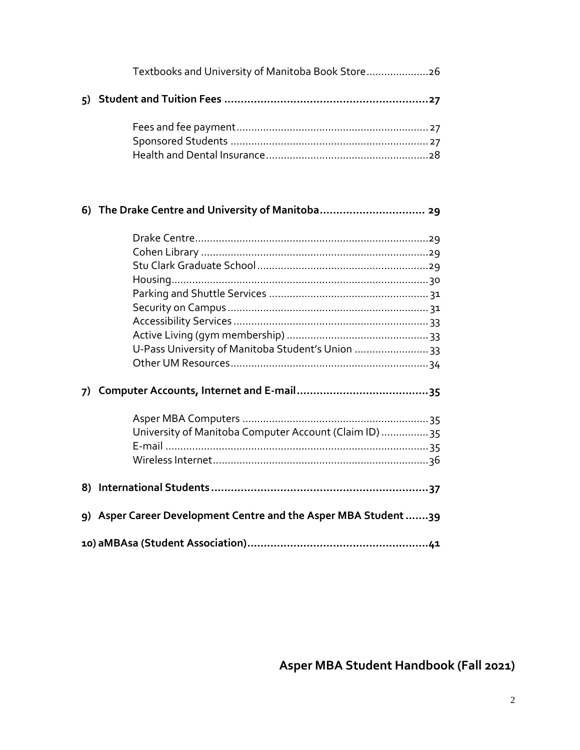|  | Textbooks and University of Manitoba Book Store26               |  |  |
|--|-----------------------------------------------------------------|--|--|
|  |                                                                 |  |  |
|  |                                                                 |  |  |
|  | 6) The Drake Centre and University of Manitoba 29               |  |  |
|  |                                                                 |  |  |
|  |                                                                 |  |  |
|  |                                                                 |  |  |
|  |                                                                 |  |  |
|  |                                                                 |  |  |
|  |                                                                 |  |  |
|  |                                                                 |  |  |
|  |                                                                 |  |  |
|  | U-Pass University of Manitoba Student's Union  33               |  |  |
|  |                                                                 |  |  |
|  |                                                                 |  |  |
|  |                                                                 |  |  |
|  | University of Manitoba Computer Account (Claim ID)  35          |  |  |
|  |                                                                 |  |  |
|  |                                                                 |  |  |
|  |                                                                 |  |  |
|  | 9) Asper Career Development Centre and the Asper MBA Student 39 |  |  |
|  |                                                                 |  |  |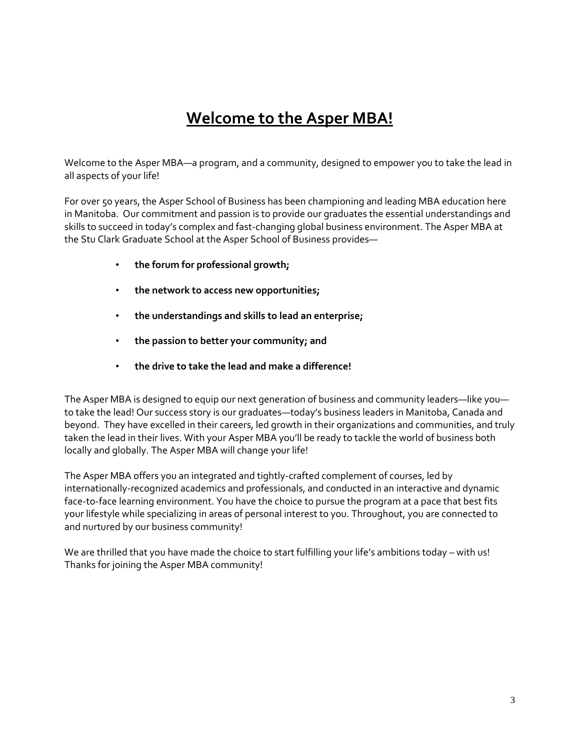# **Welcome to the Asper MBA!**

Welcome to the Asper MBA—a program, and a community, designed to empower you to take the lead in all aspects of your life!

For over 50 years, the Asper School of Business has been championing and leading MBA education here in Manitoba. Our commitment and passion is to provide our graduates the essential understandings and skills to succeed in today's complex and fast-changing global business environment. The Asper MBA at the Stu Clark Graduate School at the Asper School of Business provides—

- **the forum for professional growth;**
- **the network to access new opportunities;**
- **the understandings and skills to lead an enterprise;**
- **the passion to better your community; and**
- **the drive to take the lead and make a difference!**

The Asper MBA is designed to equip our next generation of business and community leaders—like you to take the lead! Our success story is our graduates—today's business leaders in Manitoba, Canada and beyond. They have excelled in their careers, led growth in their organizations and communities, and truly taken the lead in their lives. With your Asper MBA you'll be ready to tackle the world of business both locally and globally. The Asper MBA will change your life!

The Asper MBA offers you an integrated and tightly-crafted complement of courses, led by internationally-recognized academics and professionals, and conducted in an interactive and dynamic face-to-face learning environment. You have the choice to pursue the program at a pace that best fits your lifestyle while specializing in areas of personal interest to you. Throughout, you are connected to and nurtured by our business community!

We are thrilled that you have made the choice to start fulfilling your life's ambitions today – with us! Thanks for joining the Asper MBA community!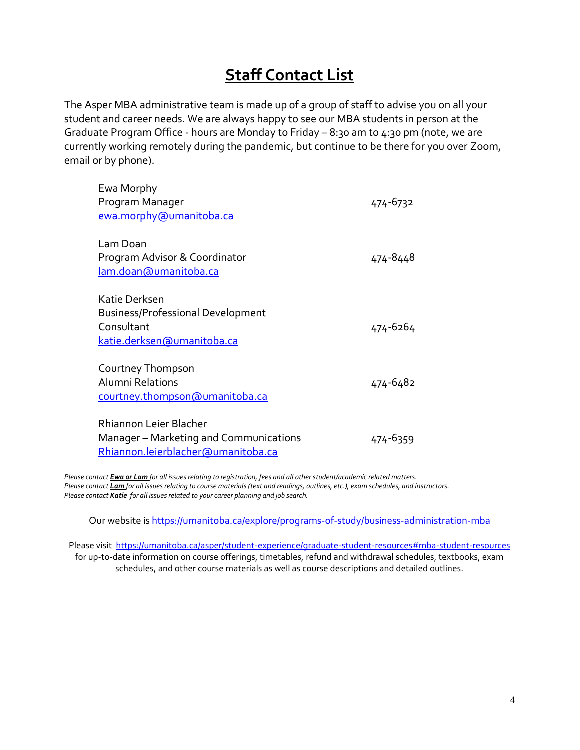# **Staff Contact List**

The Asper MBA administrative team is made up of a group of staff to advise you on all your student and career needs. We are always happy to see our MBA students in person at the Graduate Program Office - hours are Monday to Friday – 8:30 am to 4:30 pm (note, we are currently working remotely during the pandemic, but continue to be there for you over Zoom, email or by phone).

| Ewa Morphy<br>Program Manager<br>ewa.morphy@umanitoba.ca                                               | 474-6732 |
|--------------------------------------------------------------------------------------------------------|----------|
| Lam Doan<br>Program Advisor & Coordinator<br>lam.doan@umanitoba.ca                                     | 474-8448 |
| Katie Derksen<br><b>Business/Professional Development</b><br>Consultant<br>katie.derksen@umanitoba.ca  | 474-6264 |
| Courtney Thompson<br>Alumni Relations<br>courtney.thompson@umanitoba.ca                                | 474-6482 |
| Rhiannon Leier Blacher<br>Manager - Marketing and Communications<br>Rhiannon.leierblacher@umanitoba.ca | 474-6359 |

*Please contact Ewa or Lam for all issues relating to registration, fees and all other student/academic related matters. Please contact Lam for all issues relating to course materials (text and readings, outlines, etc.), exam schedules, and instructors. Please contact Katie for all issues related to your career planning and job search.*

Our website i[s https://umanitoba.ca/explore/programs-of-study/business-administration-mba](https://umanitoba.ca/explore/programs-of-study/business-administration-mba)

Please visit<https://umanitoba.ca/asper/student-experience/graduate-student-resources#mba-student-resources> for up-to-date information on course offerings, timetables, refund and withdrawal schedules, textbooks, exam schedules, and other course materials as well as course descriptions and detailed outlines.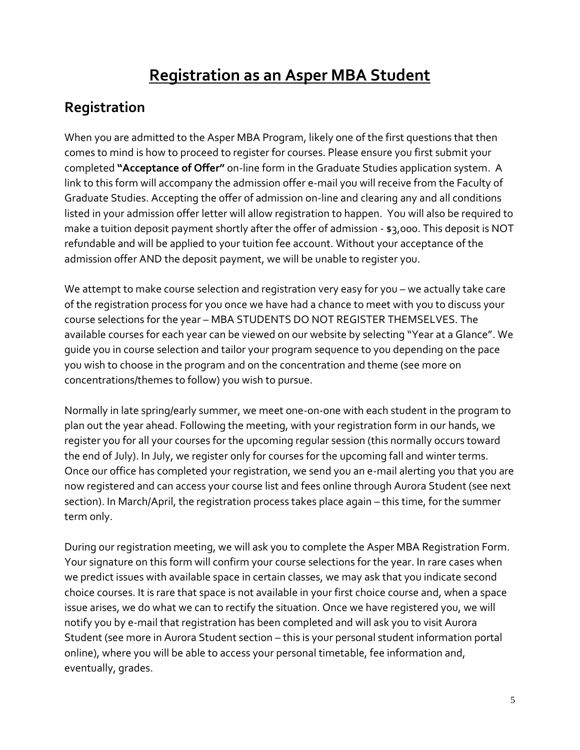# **Registration as an Asper MBA Student**

## **Registration**

When you are admitted to the Asper MBA Program, likely one of the first questions that then comes to mind is how to proceed to register for courses. Please ensure you first submit your completed **"Acceptance of Offer"** on-line form in the Graduate Studies application system. A link to this form will accompany the admission offer e-mail you will receive from the Faculty of Graduate Studies. Accepting the offer of admission on-line and clearing any and all conditions listed in your admission offer letter will allow registration to happen. You will also be required to make a tuition deposit payment shortly after the offer of admission - \$3,000. This deposit is NOT refundable and will be applied to your tuition fee account. Without your acceptance of the admission offer AND the deposit payment, we will be unable to register you.

We attempt to make course selection and registration very easy for you - we actually take care of the registration process for you once we have had a chance to meet with you to discuss your course selections for the year – MBA STUDENTS DO NOT REGISTER THEMSELVES. The available courses for each year can be viewed on our website by selecting "Year at a Glance". We guide you in course selection and tailor your program sequence to you depending on the pace you wish to choose in the program and on the concentration and theme (see more on concentrations/themes to follow) you wish to pursue.

Normally in late spring/early summer, we meet one-on-one with each student in the program to plan out the year ahead. Following the meeting, with your registration form in our hands, we register you for all your courses for the upcoming regular session (this normally occurs toward the end of July). In July, we register only for courses for the upcoming fall and winter terms. Once our office has completed your registration, we send you an e-mail alerting you that you are now registered and can access your course list and fees online through Aurora Student (see next section). In March/April, the registration process takes place again – this time, for the summer term only.

During our registration meeting, we will ask you to complete the Asper MBA Registration Form. Your signature on this form will confirm your course selections for the year. In rare cases when we predict issues with available space in certain classes, we may ask that you indicate second choice courses. It is rare that space is not available in your first choice course and, when a space issue arises, we do what we can to rectify the situation. Once we have registered you, we will notify you by e-mail that registration has been completed and will ask you to visit Aurora Student (see more in Aurora Student section – this is your personal student information portal online), where you will be able to access your personal timetable, fee information and, eventually, grades.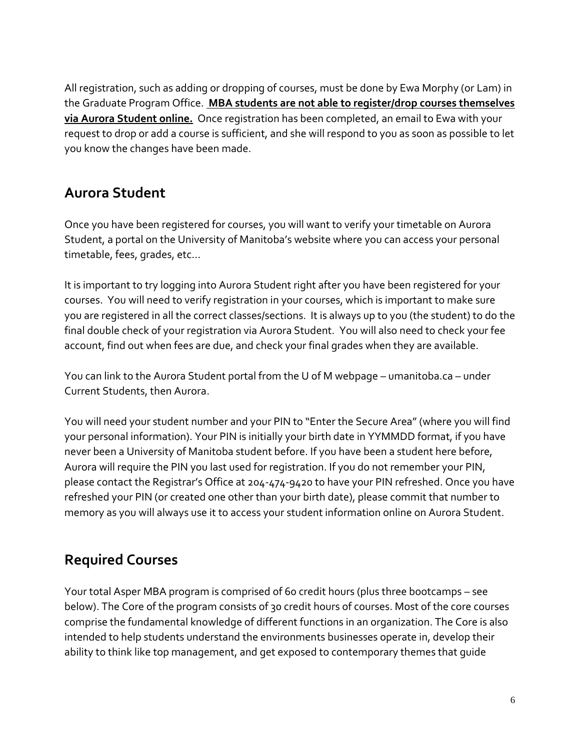All registration, such as adding or dropping of courses, must be done by Ewa Morphy (or Lam) in the Graduate Program Office. **MBA students are not able to register/drop courses themselves via Aurora Student online.** Once registration has been completed, an email to Ewa with your request to drop or add a course is sufficient, and she will respond to you as soon as possible to let you know the changes have been made.

## **Aurora Student**

Once you have been registered for courses, you will want to verify your timetable on Aurora Student, a portal on the University of Manitoba's website where you can access your personal timetable, fees, grades, etc…

It is important to try logging into Aurora Student right after you have been registered for your courses. You will need to verify registration in your courses, which is important to make sure you are registered in all the correct classes/sections. It is always up to you (the student) to do the final double check of your registration via Aurora Student. You will also need to check your fee account, find out when fees are due, and check your final grades when they are available.

You can link to the Aurora Student portal from the U of M webpage – umanitoba.ca – under Current Students, then Aurora.

You will need your student number and your PIN to "Enter the Secure Area" (where you will find your personal information). Your PIN is initially your birth date in YYMMDD format, if you have never been a University of Manitoba student before. If you have been a student here before, Aurora will require the PIN you last used for registration. If you do not remember your PIN, please contact the Registrar's Office at 204-474-9420 to have your PIN refreshed. Once you have refreshed your PIN (or created one other than your birth date), please commit that number to memory as you will always use it to access your student information online on Aurora Student.

## **Required Courses**

Your total Asper MBA program is comprised of 60 credit hours (plus three bootcamps – see below). The Core of the program consists of 30 credit hours of courses. Most of the core courses comprise the fundamental knowledge of different functions in an organization. The Core is also intended to help students understand the environments businesses operate in, develop their ability to think like top management, and get exposed to contemporary themes that guide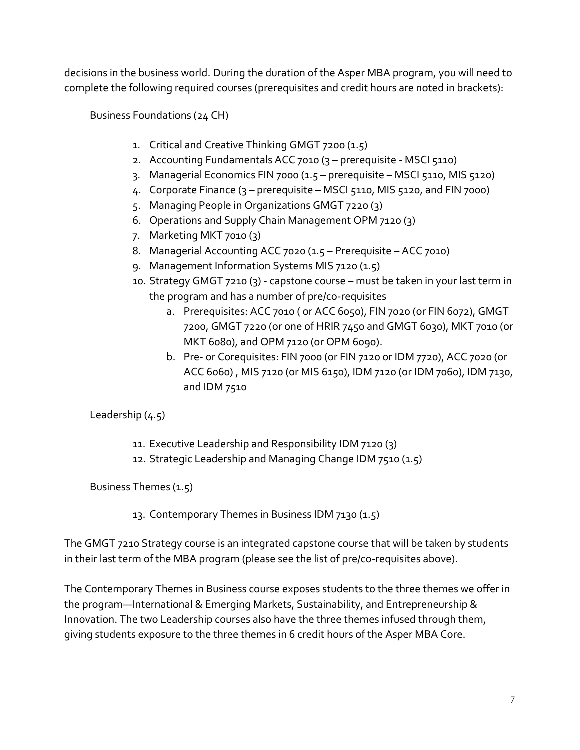decisions in the business world. During the duration of the Asper MBA program, you will need to complete the following required courses (prerequisites and credit hours are noted in brackets):

Business Foundations (24 CH)

- 1. Critical and Creative Thinking GMGT 7200 (1.5)
- 2. Accounting Fundamentals ACC 7010 (3 prerequisite MSCI 5110)
- 3. Managerial Economics FIN 7000 (1.5 prerequisite MSCI 5110, MIS 5120)
- 4. Corporate Finance (3 prerequisite MSCI 5110, MIS 5120, and FIN 7000)
- 5. Managing People in Organizations GMGT 7220 (3)
- 6. Operations and Supply Chain Management OPM 7120 (3)
- 7. Marketing MKT 7010 (3)
- 8. Managerial Accounting ACC 7020 (1.5 Prerequisite ACC 7010)
- 9. Management Information Systems MIS 7120 (1.5)
- 10. Strategy GMGT 7210 (3) capstone course must be taken in your last term in the program and has a number of pre/co-requisites
	- a. Prerequisites: ACC 7010 ( or ACC 6050), FIN 7020 (or FIN 6072), GMGT 7200, GMGT 7220 (or one of HRIR 7450 and GMGT 6030), MKT 7010 (or MKT 6080), and OPM 7120 (or OPM 6090).
	- b. Pre- or Corequisites: FIN 7000 (or FIN 7120 or IDM 7720), ACC 7020 (or ACC 6060) , MIS 7120 (or MIS 6150), IDM 7120 (or IDM 7060), IDM 7130, and IDM 7510

Leadership (4.5)

- 11. Executive Leadership and Responsibility IDM 7120 (3)
- 12. Strategic Leadership and Managing Change IDM 7510 (1.5)

Business Themes (1.5)

13. Contemporary Themes in Business IDM 7130 (1.5)

The GMGT 7210 Strategy course is an integrated capstone course that will be taken by students in their last term of the MBA program (please see the list of pre/co-requisites above).

The Contemporary Themes in Business course exposes students to the three themes we offer in the program—International & Emerging Markets, Sustainability, and Entrepreneurship & Innovation. The two Leadership courses also have the three themes infused through them, giving students exposure to the three themes in 6 credit hours of the Asper MBA Core.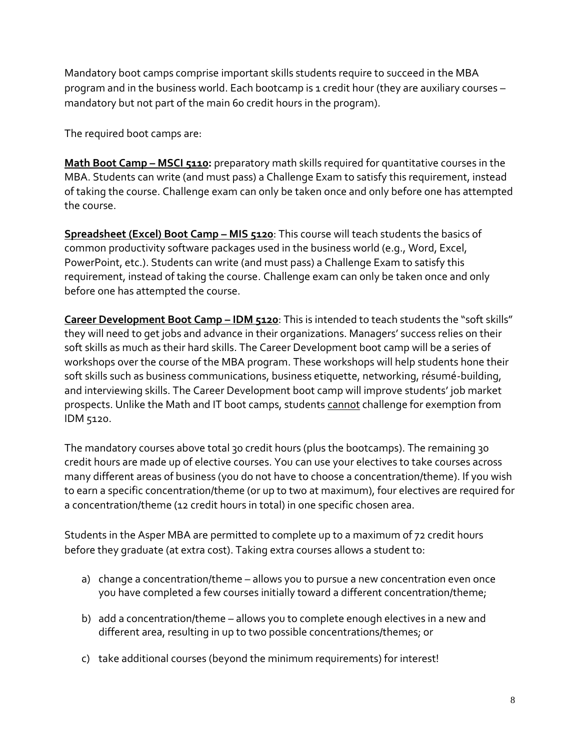Mandatory boot camps comprise important skills students require to succeed in the MBA program and in the business world. Each bootcamp is 1 credit hour (they are auxiliary courses – mandatory but not part of the main 60 credit hours in the program).

The required boot camps are:

**Math Boot Camp – MSCI 5110:** preparatory math skills required for quantitative courses in the MBA. Students can write (and must pass) a Challenge Exam to satisfy this requirement, instead of taking the course. Challenge exam can only be taken once and only before one has attempted the course.

**Spreadsheet (Excel) Boot Camp - MIS 5120:** This course will teach students the basics of common productivity software packages used in the business world (e.g., Word, Excel, PowerPoint, etc.). Students can write (and must pass) a Challenge Exam to satisfy this requirement, instead of taking the course. Challenge exam can only be taken once and only before one has attempted the course.

**Career Development Boot Camp – IDM 5120**: This is intended to teach students the "soft skills" they will need to get jobs and advance in their organizations. Managers' success relies on their soft skills as much as their hard skills. The Career Development boot camp will be a series of workshops over the course of the MBA program. These workshops will help students hone their soft skills such as business communications, business etiquette, networking, résumé-building, and interviewing skills. The Career Development boot camp will improve students' job market prospects. Unlike the Math and IT boot camps, students cannot challenge for exemption from IDM 5120.

The mandatory courses above total 30 credit hours (plus the bootcamps). The remaining 30 credit hours are made up of elective courses. You can use your electives to take courses across many different areas of business (you do not have to choose a concentration/theme). If you wish to earn a specific concentration/theme (or up to two at maximum), four electives are required for a concentration/theme (12 credit hours in total) in one specific chosen area.

Students in the Asper MBA are permitted to complete up to a maximum of 72 credit hours before they graduate (at extra cost). Taking extra courses allows a student to:

- a) change a concentration/theme allows you to pursue a new concentration even once you have completed a few courses initially toward a different concentration/theme;
- b) add a concentration/theme allows you to complete enough electives in a new and different area, resulting in up to two possible concentrations/themes; or
- c) take additional courses (beyond the minimum requirements) for interest!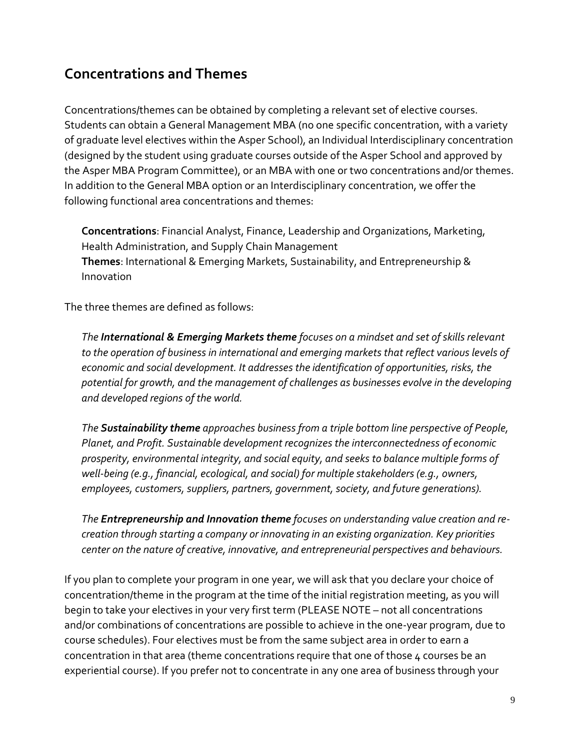## **Concentrations and Themes**

Concentrations/themes can be obtained by completing a relevant set of elective courses. Students can obtain a General Management MBA (no one specific concentration, with a variety of graduate level electives within the Asper School), an Individual Interdisciplinary concentration (designed by the student using graduate courses outside of the Asper School and approved by the Asper MBA Program Committee), or an MBA with one or two concentrations and/or themes. In addition to the General MBA option or an Interdisciplinary concentration, we offer the following functional area concentrations and themes:

**Concentrations**: Financial Analyst, Finance, Leadership and Organizations, Marketing, Health Administration, and Supply Chain Management **Themes**: International & Emerging Markets, Sustainability, and Entrepreneurship & Innovation

The three themes are defined as follows:

*The International & Emerging Markets theme focuses on a mindset and set of skills relevant to the operation of business in international and emerging markets that reflect various levels of economic and social development. It addresses the identification of opportunities, risks, the potential for growth, and the management of challenges as businesses evolve in the developing and developed regions of the world.*

*The Sustainability theme approaches business from a triple bottom line perspective of People, Planet, and Profit. Sustainable development recognizes the interconnectedness of economic prosperity, environmental integrity, and social equity, and seeks to balance multiple forms of well-being (e.g., financial, ecological, and social) for multiple stakeholders (e.g., owners, employees, customers, suppliers, partners, government, society, and future generations).*

*The Entrepreneurship and Innovation theme focuses on understanding value creation and recreation through starting a company or innovating in an existing organization. Key priorities center on the nature of creative, innovative, and entrepreneurial perspectives and behaviours.*

If you plan to complete your program in one year, we will ask that you declare your choice of concentration/theme in the program at the time of the initial registration meeting, as you will begin to take your electives in your very first term (PLEASE NOTE – not all concentrations and/or combinations of concentrations are possible to achieve in the one-year program, due to course schedules). Four electives must be from the same subject area in order to earn a concentration in that area (theme concentrations require that one of those 4 courses be an experiential course). If you prefer not to concentrate in any one area of business through your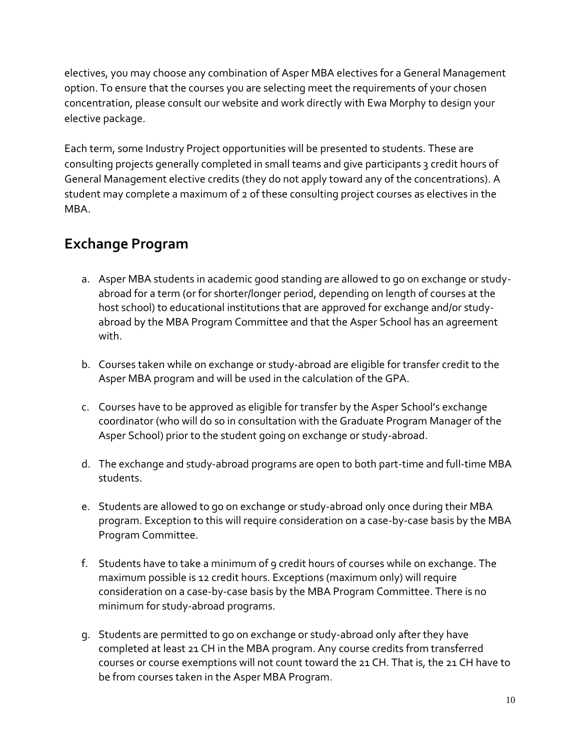electives, you may choose any combination of Asper MBA electives for a General Management option. To ensure that the courses you are selecting meet the requirements of your chosen concentration, please consult our website and work directly with Ewa Morphy to design your elective package.

Each term, some Industry Project opportunities will be presented to students. These are consulting projects generally completed in small teams and give participants 3 credit hours of General Management elective credits (they do not apply toward any of the concentrations). A student may complete a maximum of 2 of these consulting project courses as electives in the MBA.

## **Exchange Program**

- a. Asper MBA students in academic good standing are allowed to go on exchange or studyabroad for a term (or for shorter/longer period, depending on length of courses at the host school) to educational institutions that are approved for exchange and/or studyabroad by the MBA Program Committee and that the Asper School has an agreement with.
- b. Courses taken while on exchange or study-abroad are eligible for transfer credit to the Asper MBA program and will be used in the calculation of the GPA.
- c. Courses have to be approved as eligible for transfer by the Asper School's exchange coordinator (who will do so in consultation with the Graduate Program Manager of the Asper School) prior to the student going on exchange or study-abroad.
- d. The exchange and study-abroad programs are open to both part-time and full-time MBA students.
- e. Students are allowed to go on exchange or study-abroad only once during their MBA program. Exception to this will require consideration on a case-by-case basis by the MBA Program Committee.
- f. Students have to take a minimum of 9 credit hours of courses while on exchange. The maximum possible is 12 credit hours. Exceptions (maximum only) will require consideration on a case-by-case basis by the MBA Program Committee. There is no minimum for study-abroad programs.
- g. Students are permitted to go on exchange or study-abroad only after they have completed at least 21 CH in the MBA program. Any course credits from transferred courses or course exemptions will not count toward the 21 CH. That is, the 21 CH have to be from courses taken in the Asper MBA Program.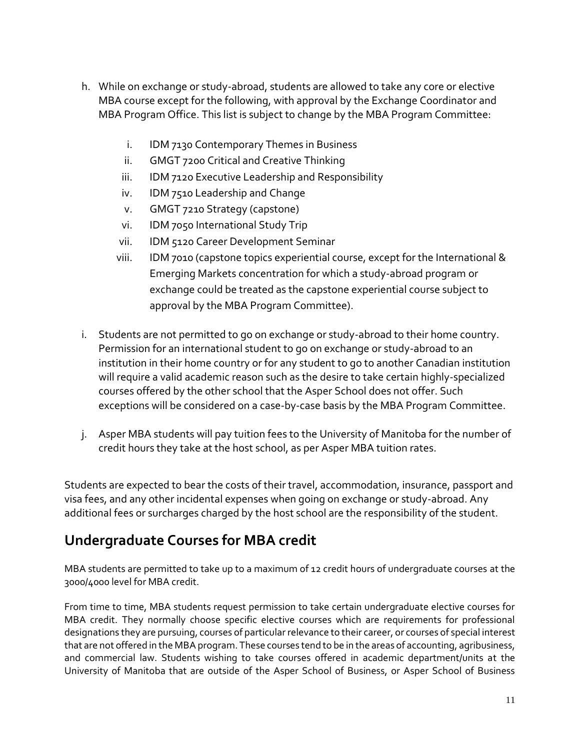- h. While on exchange or study-abroad, students are allowed to take any core or elective MBA course except for the following, with approval by the Exchange Coordinator and MBA Program Office. This list is subject to change by the MBA Program Committee:
	- i. IDM 7130 Contemporary Themes in Business
	- ii. GMGT 7200 Critical and Creative Thinking
	- iii. IDM 7120 Executive Leadership and Responsibility
	- iv. IDM 7510 Leadership and Change
	- v. GMGT 7210 Strategy (capstone)
	- vi. IDM 7050 International Study Trip
	- vii. IDM 5120 Career Development Seminar
	- viii. IDM 7010 (capstone topics experiential course, except for the International & Emerging Markets concentration for which a study-abroad program or exchange could be treated as the capstone experiential course subject to approval by the MBA Program Committee).
- i. Students are not permitted to go on exchange or study-abroad to their home country. Permission for an international student to go on exchange or study-abroad to an institution in their home country or for any student to go to another Canadian institution will require a valid academic reason such as the desire to take certain highly-specialized courses offered by the other school that the Asper School does not offer. Such exceptions will be considered on a case-by-case basis by the MBA Program Committee.
- j. Asper MBA students will pay tuition fees to the University of Manitoba for the number of credit hours they take at the host school, as per Asper MBA tuition rates.

Students are expected to bear the costs of their travel, accommodation, insurance, passport and visa fees, and any other incidental expenses when going on exchange or study-abroad. Any additional fees or surcharges charged by the host school are the responsibility of the student.

## **Undergraduate Courses for MBA credit**

MBA students are permitted to take up to a maximum of 12 credit hours of undergraduate courses at the 3000/4000 level for MBA credit.

From time to time, MBA students request permission to take certain undergraduate elective courses for MBA credit. They normally choose specific elective courses which are requirements for professional designations they are pursuing, courses of particular relevance to their career, or courses of special interest that are not offered in the MBA program. These courses tend to be in the areas of accounting, agribusiness, and commercial law. Students wishing to take courses offered in academic department/units at the University of Manitoba that are outside of the Asper School of Business, or Asper School of Business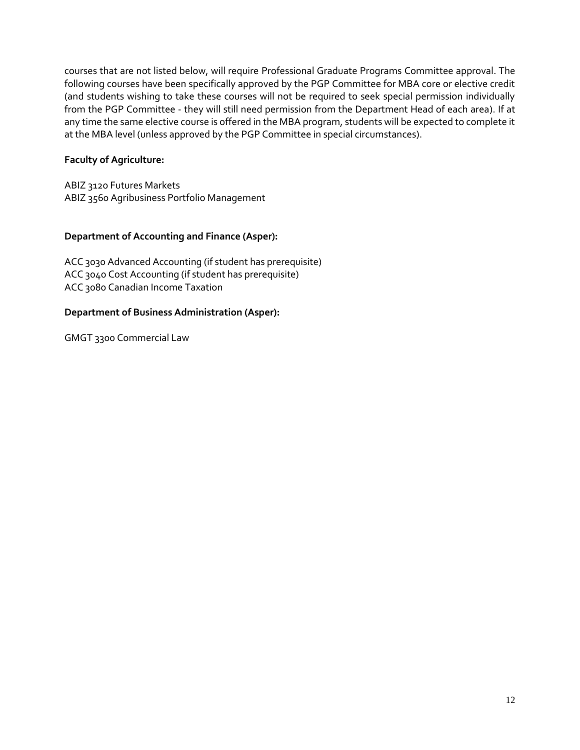courses that are not listed below, will require Professional Graduate Programs Committee approval. The following courses have been specifically approved by the PGP Committee for MBA core or elective credit (and students wishing to take these courses will not be required to seek special permission individually from the PGP Committee - they will still need permission from the Department Head of each area). If at any time the same elective course is offered in the MBA program, students will be expected to complete it at the MBA level (unless approved by the PGP Committee in special circumstances).

#### **Faculty of Agriculture:**

ABIZ 3120 Futures Markets ABIZ 3560 Agribusiness Portfolio Management

#### **Department of Accounting and Finance (Asper):**

ACC 3030 Advanced Accounting (if student has prerequisite) ACC 3040 Cost Accounting (if student has prerequisite) ACC 3080 Canadian Income Taxation

#### **Department of Business Administration (Asper):**

GMGT 3300 Commercial Law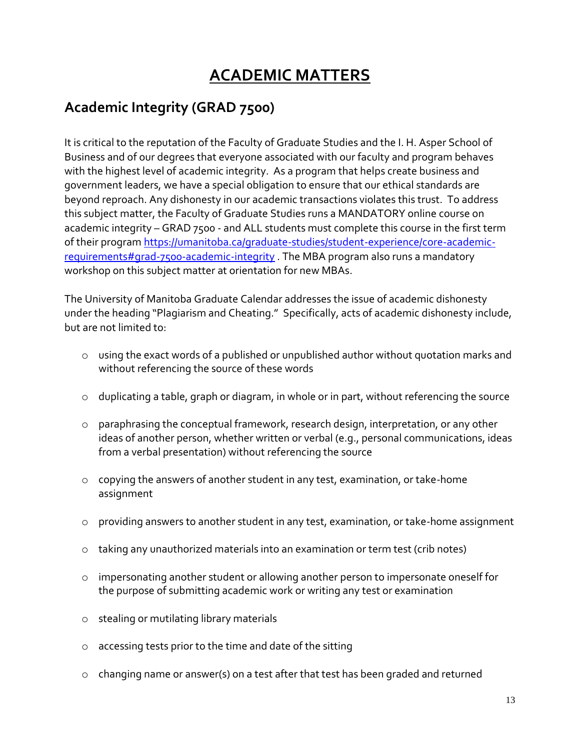# **ACADEMIC MATTERS**

## **Academic Integrity (GRAD 7500)**

It is critical to the reputation of the Faculty of Graduate Studies and the I. H. Asper School of Business and of our degrees that everyone associated with our faculty and program behaves with the highest level of academic integrity. As a program that helps create business and government leaders, we have a special obligation to ensure that our ethical standards are beyond reproach. Any dishonesty in our academic transactions violates this trust. To address this subject matter, the Faculty of Graduate Studies runs a MANDATORY online course on academic integrity – GRAD 7500 - and ALL students must complete this course in the first term of their program [https://umanitoba.ca/graduate-studies/student-experience/core-academic](https://umanitoba.ca/graduate-studies/student-experience/core-academic-requirements#grad-7500-academic-integrity)[requirements#grad-7500-academic-integrity](https://umanitoba.ca/graduate-studies/student-experience/core-academic-requirements#grad-7500-academic-integrity) . The MBA program also runs a mandatory workshop on this subject matter at orientation for new MBAs.

The University of Manitoba Graduate Calendar addresses the issue of academic dishonesty under the heading "Plagiarism and Cheating." Specifically, acts of academic dishonesty include, but are not limited to:

- o using the exact words of a published or unpublished author without quotation marks and without referencing the source of these words
- o duplicating a table, graph or diagram, in whole or in part, without referencing the source
- o paraphrasing the conceptual framework, research design, interpretation, or any other ideas of another person, whether written or verbal (e.g., personal communications, ideas from a verbal presentation) without referencing the source
- o copying the answers of another student in any test, examination, or take-home assignment
- o providing answers to another student in any test, examination, or take-home assignment
- o taking any unauthorized materials into an examination or term test (crib notes)
- o impersonating another student or allowing another person to impersonate oneself for the purpose of submitting academic work or writing any test or examination
- o stealing or mutilating library materials
- accessing tests prior to the time and date of the sitting
- o changing name or answer(s) on a test after that test has been graded and returned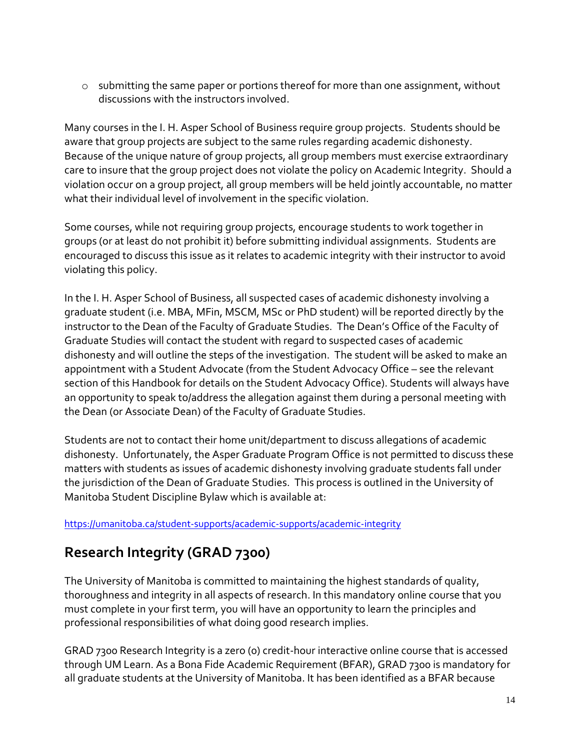$\circ$  submitting the same paper or portions thereof for more than one assignment, without discussions with the instructors involved.

Many courses in the I. H. Asper School of Business require group projects. Students should be aware that group projects are subject to the same rules regarding academic dishonesty. Because of the unique nature of group projects, all group members must exercise extraordinary care to insure that the group project does not violate the policy on Academic Integrity. Should a violation occur on a group project, all group members will be held jointly accountable, no matter what their individual level of involvement in the specific violation.

Some courses, while not requiring group projects, encourage students to work together in groups (or at least do not prohibit it) before submitting individual assignments. Students are encouraged to discuss this issue as it relates to academic integrity with their instructor to avoid violating this policy.

In the I. H. Asper School of Business, all suspected cases of academic dishonesty involving a graduate student (i.e. MBA, MFin, MSCM, MSc or PhD student) will be reported directly by the instructor to the Dean of the Faculty of Graduate Studies. The Dean's Office of the Faculty of Graduate Studies will contact the student with regard to suspected cases of academic dishonesty and will outline the steps of the investigation. The student will be asked to make an appointment with a Student Advocate (from the Student Advocacy Office – see the relevant section of this Handbook for details on the Student Advocacy Office). Students will always have an opportunity to speak to/address the allegation against them during a personal meeting with the Dean (or Associate Dean) of the Faculty of Graduate Studies.

Students are not to contact their home unit/department to discuss allegations of academic dishonesty. Unfortunately, the Asper Graduate Program Office is not permitted to discuss these matters with students as issues of academic dishonesty involving graduate students fall under the jurisdiction of the Dean of Graduate Studies. This process is outlined in the University of Manitoba Student Discipline Bylaw which is available at:

<https://umanitoba.ca/student-supports/academic-supports/academic-integrity>

## **Research Integrity (GRAD 7300)**

The University of Manitoba is committed to maintaining the highest standards of quality, thoroughness and integrity in all aspects of research. In this mandatory online course that you must complete in your first term, you will have an opportunity to learn the principles and professional responsibilities of what doing good research implies.

GRAD 7300 Research Integrity is a zero (0) credit-hour interactive online course that is accessed through UM Learn. As a Bona Fide Academic Requirement (BFAR), GRAD 7300 is mandatory for all graduate students at the University of Manitoba. It has been identified as a BFAR because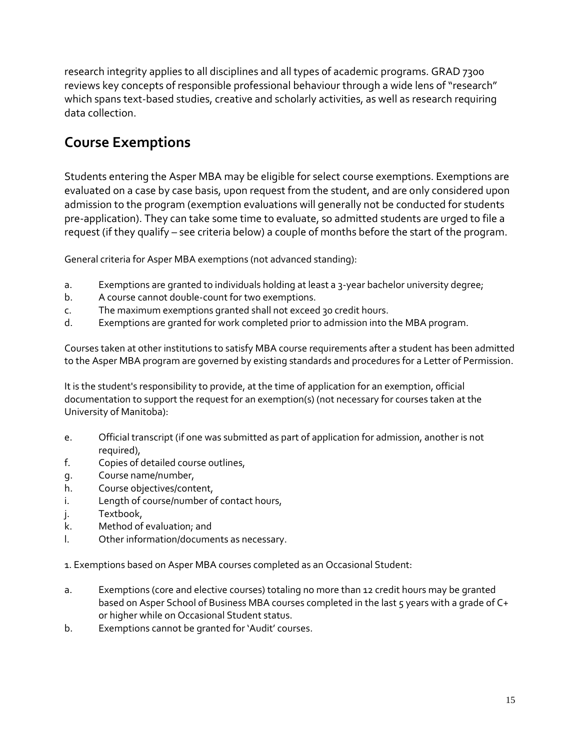research integrity applies to all disciplines and all types of academic programs. GRAD 7300 reviews key concepts of responsible professional behaviour through a wide lens of "research" which spans text-based studies, creative and scholarly activities, as well as research requiring data collection.

## **Course Exemptions**

Students entering the Asper MBA may be eligible for select course exemptions. Exemptions are evaluated on a case by case basis, upon request from the student, and are only considered upon admission to the program (exemption evaluations will generally not be conducted for students pre-application). They can take some time to evaluate, so admitted students are urged to file a request (if they qualify – see criteria below) a couple of months before the start of the program.

General criteria for Asper MBA exemptions (not advanced standing):

- a. Exemptions are granted to individuals holding at least a 3-year bachelor university degree;
- b. A course cannot double-count for two exemptions.
- c. The maximum exemptions granted shall not exceed 30 credit hours.
- d. Exemptions are granted for work completed prior to admission into the MBA program.

Courses taken at other institutions to satisfy MBA course requirements after a student has been admitted to the Asper MBA program are governed by existing standards and procedures for a Letter of Permission.

It is the student's responsibility to provide, at the time of application for an exemption, official documentation to support the request for an exemption(s) (not necessary for courses taken at the University of Manitoba):

- e. Official transcript (if one was submitted as part of application for admission, another is not required),
- f. Copies of detailed course outlines,
- g. Course name/number,
- h. Course objectives/content,
- i. Length of course/number of contact hours,
- j. Textbook,
- k. Method of evaluation; and
- l. Other information/documents as necessary.

1. Exemptions based on Asper MBA courses completed as an Occasional Student:

- a. Exemptions (core and elective courses) totaling no more than 12 credit hours may be granted based on Asper School of Business MBA courses completed in the last 5 years with a grade of C+ or higher while on Occasional Student status.
- b. Exemptions cannot be granted for 'Audit' courses.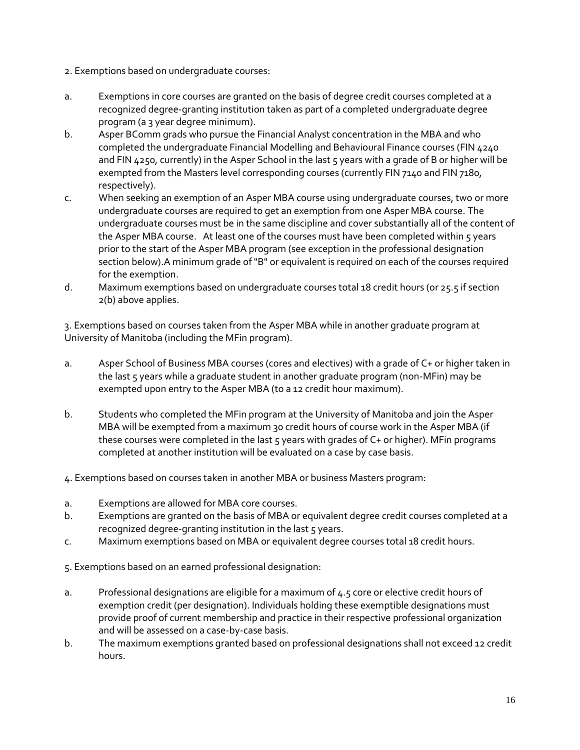- 2. Exemptions based on undergraduate courses:
- a. Exemptions in core courses are granted on the basis of degree credit courses completed at a recognized degree-granting institution taken as part of a completed undergraduate degree program (a 3 year degree minimum).
- b. Asper BComm grads who pursue the Financial Analyst concentration in the MBA and who completed the undergraduate Financial Modelling and Behavioural Finance courses (FIN 4240 and FIN 4250, currently) in the Asper School in the last  $5$  years with a grade of B or higher will be exempted from the Masters level corresponding courses (currently FIN 7140 and FIN 7180, respectively).
- c. When seeking an exemption of an Asper MBA course using undergraduate courses, two or more undergraduate courses are required to get an exemption from one Asper MBA course. The undergraduate courses must be in the same discipline and cover substantially all of the content of the Asper MBA course. At least one of the courses must have been completed within 5 years prior to the start of the Asper MBA program (see exception in the professional designation section below).A minimum grade of "B" or equivalent is required on each of the courses required for the exemption.
- d. Maximum exemptions based on undergraduate courses total 18 credit hours (or 25.5 if section 2(b) above applies.

3. Exemptions based on courses taken from the Asper MBA while in another graduate program at University of Manitoba (including the MFin program).

- a. Asper School of Business MBA courses (cores and electives) with a grade of C+ or higher taken in the last 5 years while a graduate student in another graduate program (non-MFin) may be exempted upon entry to the Asper MBA (to a 12 credit hour maximum).
- b. Students who completed the MFin program at the University of Manitoba and join the Asper MBA will be exempted from a maximum 30 credit hours of course work in the Asper MBA (if these courses were completed in the last 5 years with grades of C+ or higher). MFin programs completed at another institution will be evaluated on a case by case basis.
- 4. Exemptions based on courses taken in another MBA or business Masters program:
- a. Exemptions are allowed for MBA core courses.
- b. Exemptions are granted on the basis of MBA or equivalent degree credit courses completed at a recognized degree-granting institution in the last 5 years.
- c. Maximum exemptions based on MBA or equivalent degree courses total 18 credit hours.

5. Exemptions based on an earned professional designation:

- a. Professional designations are eligible for a maximum of 4.5 core or elective credit hours of exemption credit (per designation). Individuals holding these exemptible designations must provide proof of current membership and practice in their respective professional organization and will be assessed on a case-by-case basis.
- b. The maximum exemptions granted based on professional designations shall not exceed 12 credit hours.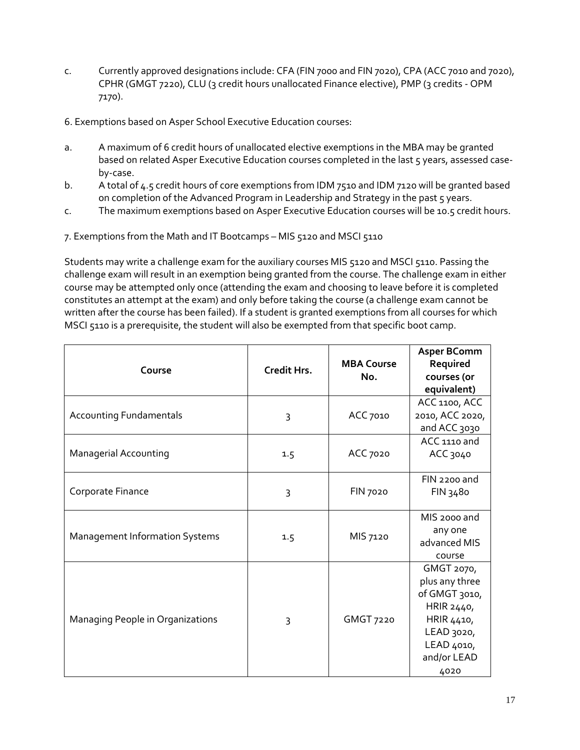- c. Currently approved designations include: CFA (FIN 7000 and FIN 7020), CPA (ACC 7010 and 7020), CPHR (GMGT 7220), CLU (3 credit hours unallocated Finance elective), PMP (3 credits - OPM 7170).
- 6. Exemptions based on Asper School Executive Education courses:
- a. A maximum of 6 credit hours of unallocated elective exemptions in the MBA may be granted based on related Asper Executive Education courses completed in the last 5 years, assessed caseby-case.
- b. A total of 4.5 credit hours of core exemptions from IDM 7510 and IDM 7120 will be granted based on completion of the Advanced Program in Leadership and Strategy in the past 5 years.
- c. The maximum exemptions based on Asper Executive Education courses will be 10.5 credit hours.
- 7. Exemptions from the Math and IT Bootcamps MIS 5120 and MSCI 5110

Students may write a challenge exam for the auxiliary courses MIS 5120 and MSCI 5110. Passing the challenge exam will result in an exemption being granted from the course. The challenge exam in either course may be attempted only once (attending the exam and choosing to leave before it is completed constitutes an attempt at the exam) and only before taking the course (a challenge exam cannot be written after the course has been failed). If a student is granted exemptions from all courses for which MSCI 5110 is a prerequisite, the student will also be exempted from that specific boot camp.

| Course                                | Credit Hrs. | <b>MBA Course</b><br>No. | <b>Asper BComm</b><br>Required<br>courses (or<br>equivalent)                                                                 |
|---------------------------------------|-------------|--------------------------|------------------------------------------------------------------------------------------------------------------------------|
| <b>Accounting Fundamentals</b>        | 3           | ACC 7010                 | ACC 1100, ACC<br>2010, ACC 2020,<br>and ACC 3030                                                                             |
| <b>Managerial Accounting</b>          | 1.5         | ACC 7020                 | ACC 1110 and<br>ACC 3040                                                                                                     |
| Corporate Finance                     | 3           | <b>FIN 7020</b>          | FIN 2200 and<br>FIN 3480                                                                                                     |
| <b>Management Information Systems</b> | 1.5         | MIS 7120                 | MIS 2000 and<br>any one<br>advanced MIS<br>course                                                                            |
| Managing People in Organizations      | 3           | GMGT 7220                | GMGT 2070,<br>plus any three<br>of GMGT 3010,<br>HRIR 2440,<br>HRIR 4410,<br>LEAD 3020,<br>LEAD 4010,<br>and/or LEAD<br>4020 |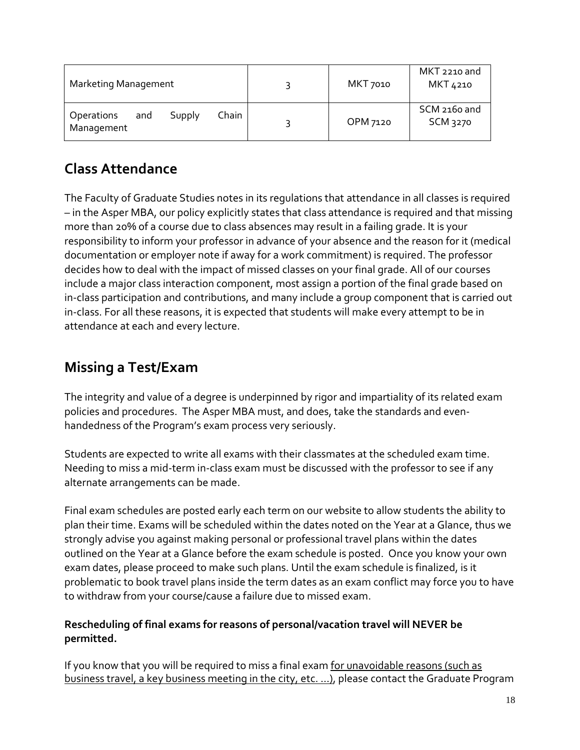| <b>Marketing Management</b>                               | MKT 7010 | MKT 2210 and<br>MKT 4210        |
|-----------------------------------------------------------|----------|---------------------------------|
| Chain<br><b>Operations</b><br>Supply<br>and<br>Management | OPM 7120 | SCM 2160 and<br><b>SCM 3270</b> |

# **Class Attendance**

The Faculty of Graduate Studies notes in its regulations that attendance in all classes is required – in the Asper MBA, our policy explicitly states that class attendance is required and that missing more than 20% of a course due to class absences may result in a failing grade. It is your responsibility to inform your professor in advance of your absence and the reason for it (medical documentation or employer note if away for a work commitment) is required. The professor decides how to deal with the impact of missed classes on your final grade. All of our courses include a major class interaction component, most assign a portion of the final grade based on in-class participation and contributions, and many include a group component that is carried out in-class. For all these reasons, it is expected that students will make every attempt to be in attendance at each and every lecture.

## **Missing a Test/Exam**

The integrity and value of a degree is underpinned by rigor and impartiality of its related exam policies and procedures. The Asper MBA must, and does, take the standards and evenhandedness of the Program's exam process very seriously.

Students are expected to write all exams with their classmates at the scheduled exam time. Needing to miss a mid-term in-class exam must be discussed with the professor to see if any alternate arrangements can be made.

Final exam schedules are posted early each term on our website to allow students the ability to plan their time. Exams will be scheduled within the dates noted on the Year at a Glance, thus we strongly advise you against making personal or professional travel plans within the dates outlined on the Year at a Glance before the exam schedule is posted. Once you know your own exam dates, please proceed to make such plans. Until the exam schedule is finalized, is it problematic to book travel plans inside the term dates as an exam conflict may force you to have to withdraw from your course/cause a failure due to missed exam.

## **Rescheduling of final exams for reasons of personal/vacation travel will NEVER be permitted.**

If you know that you will be required to miss a final exam for unavoidable reasons (such as business travel, a key business meeting in the city, etc. …), please contact the Graduate Program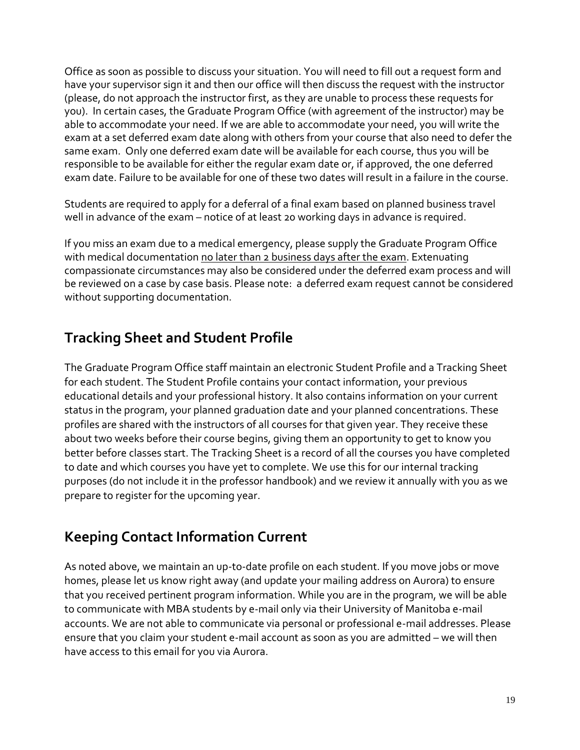Office as soon as possible to discuss your situation. You will need to fill out a request form and have your supervisor sign it and then our office will then discuss the request with the instructor (please, do not approach the instructor first, as they are unable to process these requests for you). In certain cases, the Graduate Program Office (with agreement of the instructor) may be able to accommodate your need. If we are able to accommodate your need, you will write the exam at a set deferred exam date along with others from your course that also need to defer the same exam. Only one deferred exam date will be available for each course, thus you will be responsible to be available for either the regular exam date or, if approved, the one deferred exam date. Failure to be available for one of these two dates will result in a failure in the course.

Students are required to apply for a deferral of a final exam based on planned business travel well in advance of the exam – notice of at least 20 working days in advance is required.

If you miss an exam due to a medical emergency, please supply the Graduate Program Office with medical documentation no later than 2 business days after the exam. Extenuating compassionate circumstances may also be considered under the deferred exam process and will be reviewed on a case by case basis. Please note: a deferred exam request cannot be considered without supporting documentation.

## **Tracking Sheet and Student Profile**

The Graduate Program Office staff maintain an electronic Student Profile and a Tracking Sheet for each student. The Student Profile contains your contact information, your previous educational details and your professional history. It also contains information on your current status in the program, your planned graduation date and your planned concentrations. These profiles are shared with the instructors of all courses for that given year. They receive these about two weeks before their course begins, giving them an opportunity to get to know you better before classes start. The Tracking Sheet is a record of all the courses you have completed to date and which courses you have yet to complete. We use this for our internal tracking purposes (do not include it in the professor handbook) and we review it annually with you as we prepare to register for the upcoming year.

## **Keeping Contact Information Current**

As noted above, we maintain an up-to-date profile on each student. If you move jobs or move homes, please let us know right away (and update your mailing address on Aurora) to ensure that you received pertinent program information. While you are in the program, we will be able to communicate with MBA students by e-mail only via their University of Manitoba e-mail accounts. We are not able to communicate via personal or professional e-mail addresses. Please ensure that you claim your student e-mail account as soon as you are admitted – we will then have access to this email for you via Aurora.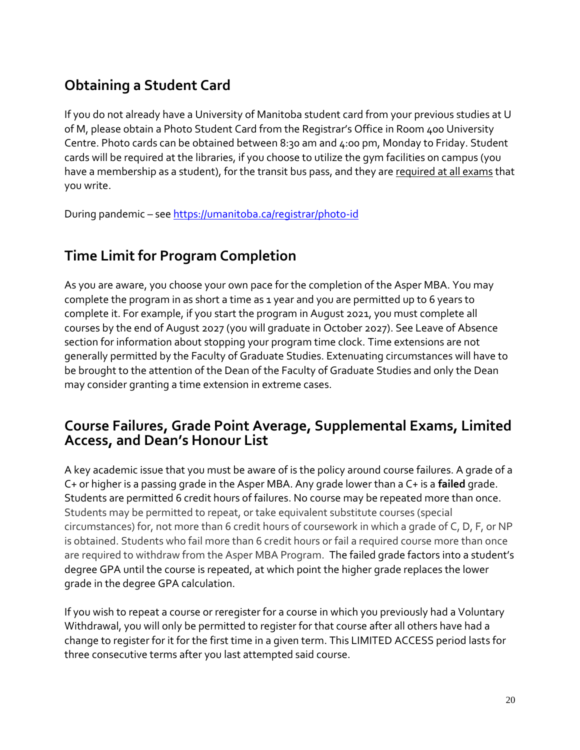# **Obtaining a Student Card**

If you do not already have a University of Manitoba student card from your previous studies at U of M, please obtain a Photo Student Card from the Registrar's Office in Room 400 University Centre. Photo cards can be obtained between 8:30 am and 4:00 pm, Monday to Friday. Student cards will be required at the libraries, if you choose to utilize the gym facilities on campus (you have a membership as a student), for the transit bus pass, and they are required at all exams that you write.

During pandemic – see<https://umanitoba.ca/registrar/photo-id>

## **Time Limit for Program Completion**

As you are aware, you choose your own pace for the completion of the Asper MBA. You may complete the program in as short a time as 1 year and you are permitted up to 6 years to complete it. For example, if you start the program in August 2021, you must complete all courses by the end of August 2027 (you will graduate in October 2027). See Leave of Absence section for information about stopping your program time clock. Time extensions are not generally permitted by the Faculty of Graduate Studies. Extenuating circumstances will have to be brought to the attention of the Dean of the Faculty of Graduate Studies and only the Dean may consider granting a time extension in extreme cases.

## **Course Failures, Grade Point Average, Supplemental Exams, Limited Access, and Dean's Honour List**

A key academic issue that you must be aware of is the policy around course failures. A grade of a C+ or higher is a passing grade in the Asper MBA. Any grade lower than a C+ is a **failed** grade. Students are permitted 6 credit hours of failures. No course may be repeated more than once. Students may be permitted to repeat, or take equivalent substitute courses (special circumstances) for, not more than 6 credit hours of coursework in which a grade of C, D, F, or NP is obtained. Students who fail more than 6 credit hours or fail a required course more than once are required to withdraw from the Asper MBA Program. The failed grade factors into a student's degree GPA until the course is repeated, at which point the higher grade replaces the lower grade in the degree GPA calculation.

If you wish to repeat a course or reregister for a course in which you previously had a Voluntary Withdrawal, you will only be permitted to register for that course after all others have had a change to register for it for the first time in a given term. This LIMITED ACCESS period lasts for three consecutive terms after you last attempted said course.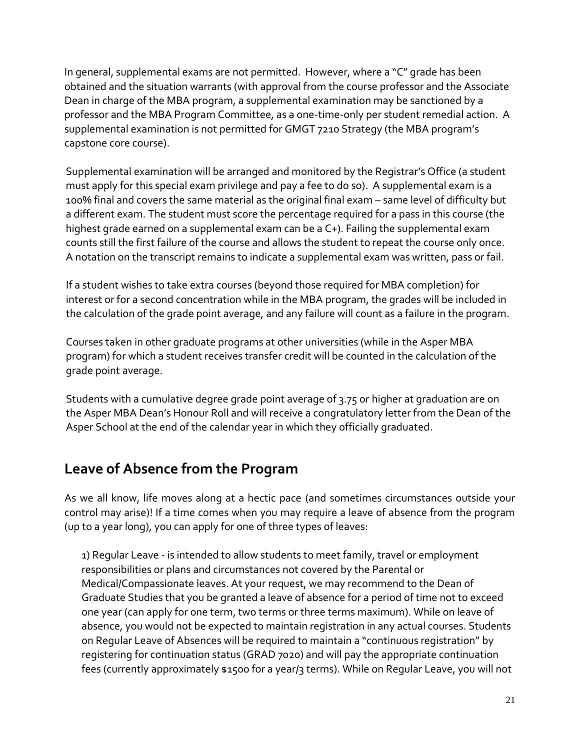In general, supplemental exams are not permitted. However, where a "C" grade has been obtained and the situation warrants (with approval from the course professor and the Associate Dean in charge of the MBA program, a supplemental examination may be sanctioned by a professor and the MBA Program Committee, as a one-time-only per student remedial action. A supplemental examination is not permitted for GMGT 7210 Strategy (the MBA program's capstone core course).

Supplemental examination will be arranged and monitored by the Registrar's Office (a student must apply for this special exam privilege and pay a fee to do so). A supplemental exam is a 100% final and covers the same material as the original final exam – same level of difficulty but a different exam. The student must score the percentage required for a pass in this course (the highest grade earned on a supplemental exam can be a C+). Failing the supplemental exam counts still the first failure of the course and allows the student to repeat the course only once. A notation on the transcript remains to indicate a supplemental exam was written, pass or fail.

If a student wishes to take extra courses (beyond those required for MBA completion) for interest or for a second concentration while in the MBA program, the grades will be included in the calculation of the grade point average, and any failure will count as a failure in the program.

Courses taken in other graduate programs at other universities (while in the Asper MBA program) for which a student receives transfer credit will be counted in the calculation of the grade point average.

Students with a cumulative degree grade point average of 3.75 or higher at graduation are on the Asper MBA Dean's Honour Roll and will receive a congratulatory letter from the Dean of the Asper School at the end of the calendar year in which they officially graduated.

## **Leave of Absence from the Program**

As we all know, life moves along at a hectic pace (and sometimes circumstances outside your control may arise)! If a time comes when you may require a leave of absence from the program (up to a year long), you can apply for one of three types of leaves:

1) Regular Leave - is intended to allow students to meet family, travel or employment responsibilities or plans and circumstances not covered by the Parental or Medical/Compassionate leaves. At your request, we may recommend to the Dean of Graduate Studies that you be granted a leave of absence for a period of time not to exceed one year (can apply for one term, two terms or three terms maximum). While on leave of absence, you would not be expected to maintain registration in any actual courses. Students on Regular Leave of Absences will be required to maintain a "continuous registration" by registering for continuation status (GRAD 7020) and will pay the appropriate continuation fees (currently approximately \$1500 for a year/3 terms). While on Regular Leave, you will not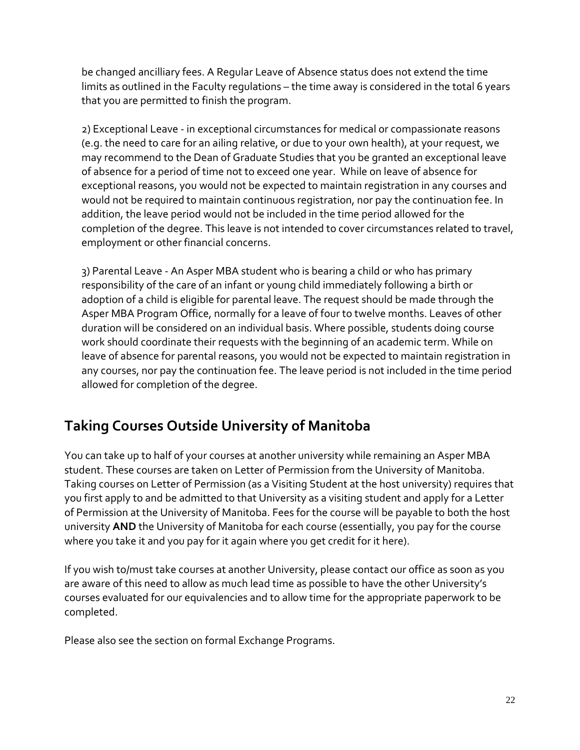be changed ancilliary fees. A Regular Leave of Absence status does not extend the time limits as outlined in the Faculty regulations – the time away is considered in the total 6 years that you are permitted to finish the program.

2) Exceptional Leave - in exceptional circumstances for medical or compassionate reasons (e.g. the need to care for an ailing relative, or due to your own health), at your request, we may recommend to the Dean of Graduate Studies that you be granted an exceptional leave of absence for a period of time not to exceed one year. While on leave of absence for exceptional reasons, you would not be expected to maintain registration in any courses and would not be required to maintain continuous registration, nor pay the continuation fee. In addition, the leave period would not be included in the time period allowed for the completion of the degree. This leave is not intended to cover circumstances related to travel, employment or other financial concerns.

3) Parental Leave - An Asper MBA student who is bearing a child or who has primary responsibility of the care of an infant or young child immediately following a birth or adoption of a child is eligible for parental leave. The request should be made through the Asper MBA Program Office, normally for a leave of four to twelve months. Leaves of other duration will be considered on an individual basis. Where possible, students doing course work should coordinate their requests with the beginning of an academic term. While on leave of absence for parental reasons, you would not be expected to maintain registration in any courses, nor pay the continuation fee. The leave period is not included in the time period allowed for completion of the degree.

## **Taking Courses Outside University of Manitoba**

You can take up to half of your courses at another university while remaining an Asper MBA student. These courses are taken on Letter of Permission from the University of Manitoba. Taking courses on Letter of Permission (as a Visiting Student at the host university) requires that you first apply to and be admitted to that University as a visiting student and apply for a Letter of Permission at the University of Manitoba. Fees for the course will be payable to both the host university **AND** the University of Manitoba for each course (essentially, you pay for the course where you take it and you pay for it again where you get credit for it here).

If you wish to/must take courses at another University, please contact our office as soon as you are aware of this need to allow as much lead time as possible to have the other University's courses evaluated for our equivalencies and to allow time for the appropriate paperwork to be completed.

Please also see the section on formal Exchange Programs.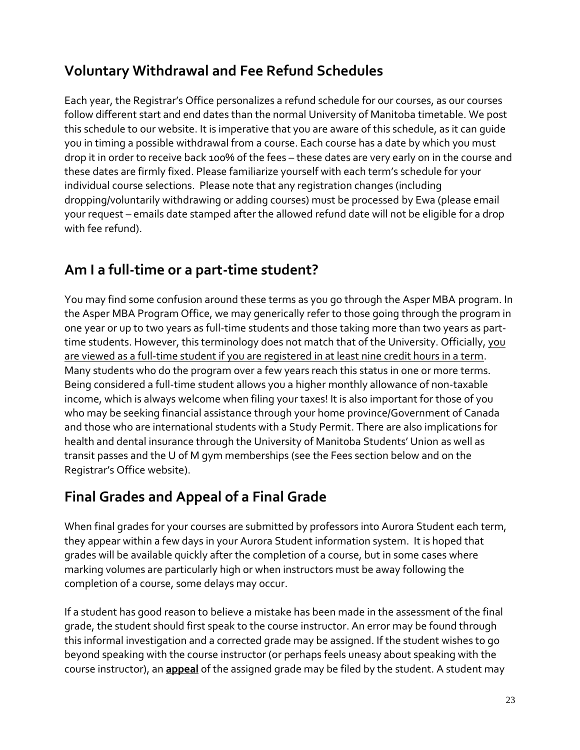## **Voluntary Withdrawal and Fee Refund Schedules**

Each year, the Registrar's Office personalizes a refund schedule for our courses, as our courses follow different start and end dates than the normal University of Manitoba timetable. We post this schedule to our website. It is imperative that you are aware of this schedule, as it can guide you in timing a possible withdrawal from a course. Each course has a date by which you must drop it in order to receive back 100% of the fees – these dates are very early on in the course and these dates are firmly fixed. Please familiarize yourself with each term's schedule for your individual course selections. Please note that any registration changes (including dropping/voluntarily withdrawing or adding courses) must be processed by Ewa (please email your request – emails date stamped after the allowed refund date will not be eligible for a drop with fee refund).

## **Am I a full-time or a part-time student?**

You may find some confusion around these terms as you go through the Asper MBA program. In the Asper MBA Program Office, we may generically refer to those going through the program in one year or up to two years as full-time students and those taking more than two years as parttime students. However, this terminology does not match that of the University. Officially, you are viewed as a full-time student if you are registered in at least nine credit hours in a term. Many students who do the program over a few years reach this status in one or more terms. Being considered a full-time student allows you a higher monthly allowance of non-taxable income, which is always welcome when filing your taxes! It is also important for those of you who may be seeking financial assistance through your home province/Government of Canada and those who are international students with a Study Permit. There are also implications for health and dental insurance through the University of Manitoba Students' Union as well as transit passes and the U of M gym memberships (see the Fees section below and on the Registrar's Office website).

# **Final Grades and Appeal of a Final Grade**

When final grades for your courses are submitted by professors into Aurora Student each term, they appear within a few days in your Aurora Student information system. It is hoped that grades will be available quickly after the completion of a course, but in some cases where marking volumes are particularly high or when instructors must be away following the completion of a course, some delays may occur.

If a student has good reason to believe a mistake has been made in the assessment of the final grade, the student should first speak to the course instructor. An error may be found through this informal investigation and a corrected grade may be assigned. If the student wishes to go beyond speaking with the course instructor (or perhaps feels uneasy about speaking with the course instructor), an **appeal** of the assigned grade may be filed by the student. A student may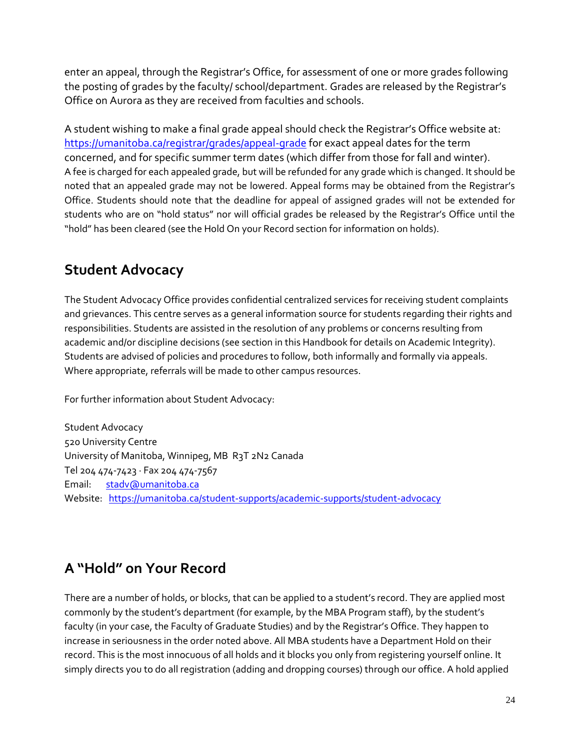enter an appeal, through the Registrar's Office, for assessment of one or more grades following the posting of grades by the faculty/ school/department. Grades are released by the Registrar's Office on Aurora as they are received from faculties and schools.

A student wishing to make a final grade appeal should check the Registrar's Office website at: <https://umanitoba.ca/registrar/grades/appeal-grade> for exact appeal dates for the term concerned, and for specific summer term dates (which differ from those for fall and winter). A fee is charged for each appealed grade, but will be refunded for any grade which is changed. It should be noted that an appealed grade may not be lowered. Appeal forms may be obtained from the Registrar's Office. Students should note that the deadline for appeal of assigned grades will not be extended for students who are on "hold status" nor will official grades be released by the Registrar's Office until the "hold" has been cleared (see the Hold On your Record section for information on holds).

## **Student Advocacy**

The Student Advocacy Office provides confidential centralized services for receiving student complaints and grievances. This centre serves as a general information source for students regarding their rights and responsibilities. Students are assisted in the resolution of any problems or concerns resulting from academic and/or discipline decisions (see section in this Handbook for details on Academic Integrity). Students are advised of policies and procedures to follow, both informally and formally via appeals. Where appropriate, referrals will be made to other campus resources.

For further information about Student Advocacy:

Student Advocacy 520 University Centre University of Manitoba, Winnipeg, MB R3T 2N2 Canada Tel 204 474-7423 ∙ Fax 204 474-7567 Email: [stadv@umanitoba.ca](mailto:stadv@umanitoba.ca) Website: <https://umanitoba.ca/student-supports/academic-supports/student-advocacy>

# **A "Hold" on Your Record**

There are a number of holds, or blocks, that can be applied to a student's record. They are applied most commonly by the student's department (for example, by the MBA Program staff), by the student's faculty (in your case, the Faculty of Graduate Studies) and by the Registrar's Office. They happen to increase in seriousness in the order noted above. All MBA students have a Department Hold on their record. This is the most innocuous of all holds and it blocks you only from registering yourself online. It simply directs you to do all registration (adding and dropping courses) through our office. A hold applied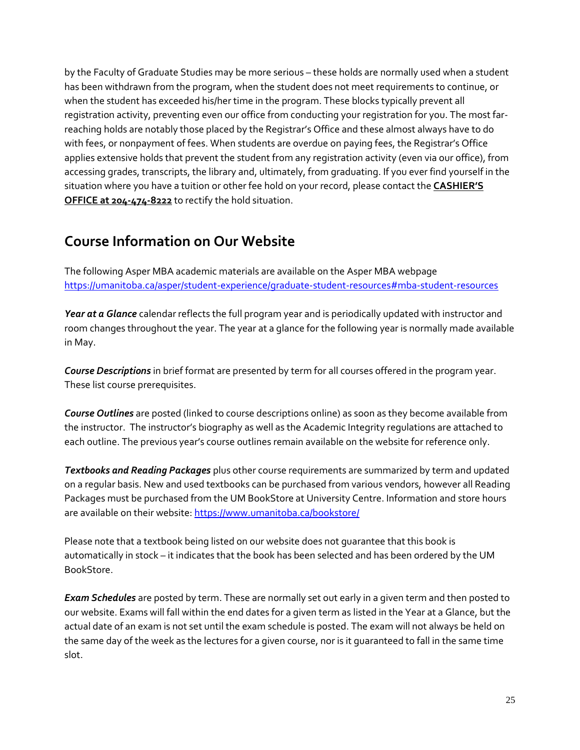by the Faculty of Graduate Studies may be more serious – these holds are normally used when a student has been withdrawn from the program, when the student does not meet requirements to continue, or when the student has exceeded his/her time in the program. These blocks typically prevent all registration activity, preventing even our office from conducting your registration for you. The most farreaching holds are notably those placed by the Registrar's Office and these almost always have to do with fees, or nonpayment of fees. When students are overdue on paying fees, the Registrar's Office applies extensive holds that prevent the student from any registration activity (even via our office), from accessing grades, transcripts, the library and, ultimately, from graduating. If you ever find yourself in the situation where you have a tuition or other fee hold on your record, please contact the **CASHIER'S OFFICE at 204-474-8222** to rectify the hold situation.

## **Course Information on Our Website**

The following Asper MBA academic materials are available on the Asper MBA webpage <https://umanitoba.ca/asper/student-experience/graduate-student-resources#mba-student-resources>

*Year at a Glance* calendar reflects the full program year and is periodically updated with instructor and room changes throughout the year. The year at a glance for the following year is normally made available in May.

*Course Descriptions* in brief format are presented by term for all courses offered in the program year. These list course prerequisites.

*Course Outlines* are posted (linked to course descriptions online) as soon as they become available from the instructor. The instructor's biography as well as the Academic Integrity regulations are attached to each outline. The previous year's course outlines remain available on the website for reference only.

*Textbooks and Reading Packages* plus other course requirements are summarized by term and updated on a regular basis. New and used textbooks can be purchased from various vendors, however all Reading Packages must be purchased from the UM BookStore at University Centre. Information and store hours are available on their website[: https://www.umanitoba.ca/bookstore/](https://www.umanitoba.ca/bookstore/)

Please note that a textbook being listed on our website does not guarantee that this book is automatically in stock – it indicates that the book has been selected and has been ordered by the UM BookStore.

*Exam Schedules* are posted by term. These are normally set out early in a given term and then posted to our website. Exams will fall within the end dates for a given term as listed in the Year at a Glance, but the actual date of an exam is not set until the exam schedule is posted. The exam will not always be held on the same day of the week as the lectures for a given course, nor is it guaranteed to fall in the same time slot.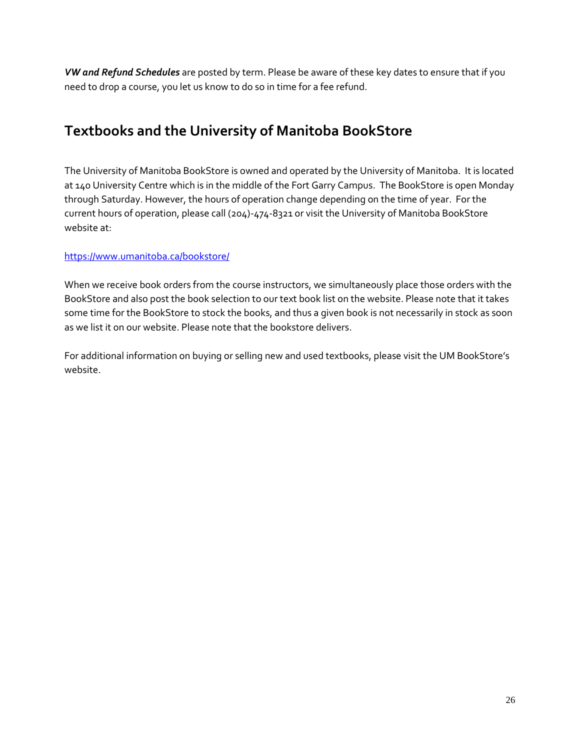*VW and Refund Schedules* are posted by term. Please be aware of these key dates to ensure that if you need to drop a course, you let us know to do so in time for a fee refund.

## **Textbooks and the University of Manitoba BookStore**

The University of Manitoba BookStore is owned and operated by the University of Manitoba. It is located at 140 University Centre which is in the middle of the Fort Garry Campus. The BookStore is open Monday through Saturday. However, the hours of operation change depending on the time of year. For the current hours of operation, please call (204)-474-8321 or visit the University of Manitoba BookStore website at:

#### <https://www.umanitoba.ca/bookstore/>

When we receive book orders from the course instructors, we simultaneously place those orders with the BookStore and also post the book selection to our text book list on the website. Please note that it takes some time for the BookStore to stock the books, and thus a given book is not necessarily in stock as soon as we list it on our website. Please note that the bookstore delivers.

For additional information on buying or selling new and used textbooks, please visit the UM BookStore's website.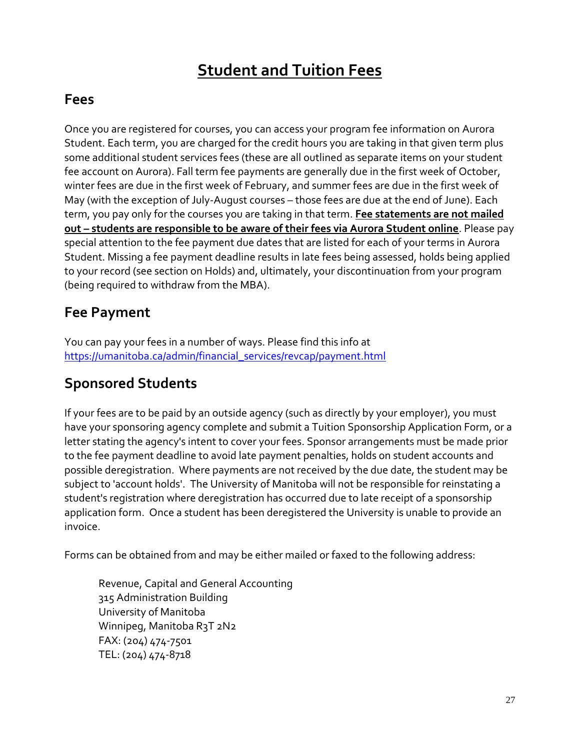# **Student and Tuition Fees**

## **Fees**

Once you are registered for courses, you can access your program fee information on Aurora Student. Each term, you are charged for the credit hours you are taking in that given term plus some additional student services fees (these are all outlined as separate items on your student fee account on Aurora). Fall term fee payments are generally due in the first week of October, winter fees are due in the first week of February, and summer fees are due in the first week of May (with the exception of July-August courses – those fees are due at the end of June). Each term, you pay only for the courses you are taking in that term. **Fee statements are not mailed out – students are responsible to be aware of their fees via Aurora Student online**. Please pay special attention to the fee payment due dates that are listed for each of your terms in Aurora Student. Missing a fee payment deadline results in late fees being assessed, holds being applied to your record (see section on Holds) and, ultimately, your discontinuation from your program (being required to withdraw from the MBA).

## **Fee Payment**

You can pay your fees in a number of ways. Please find this info at [https://umanitoba.ca/admin/financial\\_services/revcap/payment.html](https://umanitoba.ca/admin/financial_services/revcap/payment.html)

## **Sponsored Students**

If your fees are to be paid by an outside agency (such as directly by your employer), you must have your sponsoring agency complete and submit a Tuition Sponsorship Application Form, or a letter stating the agency's intent to cover your fees. Sponsor arrangements must be made prior to the fee payment deadline to avoid late payment penalties, holds on student accounts and possible deregistration. Where payments are not received by the due date, the student may be subject to 'account holds'. The University of Manitoba will not be responsible for reinstating a student's registration where deregistration has occurred due to late receipt of a sponsorship application form. Once a student has been deregistered the University is unable to provide an invoice.

Forms can be obtained from and may be either mailed or faxed to the following address:

Revenue, Capital and General Accounting 315 Administration Building University of Manitoba Winnipeg, Manitoba R3T 2N2 FAX: (204) 474-7501 TEL: (204) 474-8718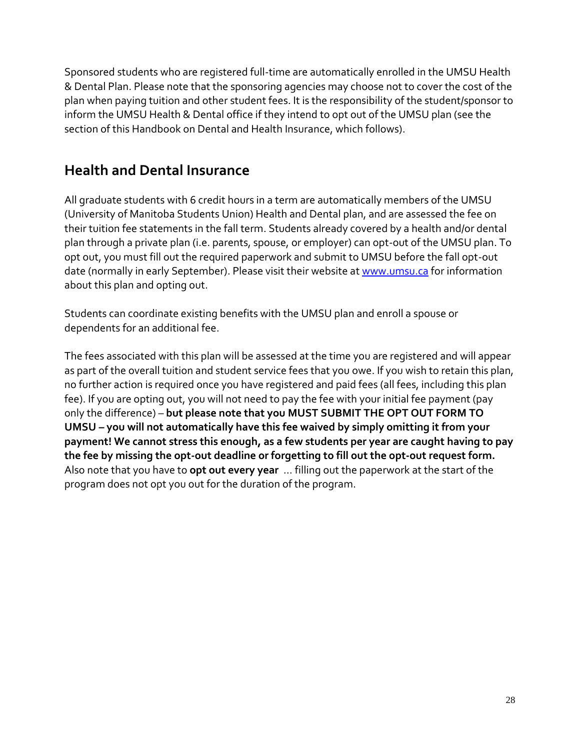Sponsored students who are registered full-time are automatically enrolled in the UMSU Health & Dental Plan. Please note that the sponsoring agencies may choose not to cover the cost of the plan when paying tuition and other student fees. It is the responsibility of the student/sponsor to inform the UMSU Health & Dental office if they intend to opt out of the UMSU plan (see the section of this Handbook on Dental and Health Insurance, which follows).

## **Health and Dental Insurance**

All graduate students with 6 credit hours in a term are automatically members of the UMSU (University of Manitoba Students Union) Health and Dental plan, and are assessed the fee on their tuition fee statements in the fall term. Students already covered by a health and/or dental plan through a private plan (i.e. parents, spouse, or employer) can opt-out of the UMSU plan. To opt out, you must fill out the required paperwork and submit to UMSU before the fall opt-out date (normally in early September). Please visit their website at [www.umsu.ca](http://www.umsu.ca/) for information about this plan and opting out.

Students can coordinate existing benefits with the UMSU plan and enroll a spouse or dependents for an additional fee.

The fees associated with this plan will be assessed at the time you are registered and will appear as part of the overall tuition and student service fees that you owe. If you wish to retain this plan, no further action is required once you have registered and paid fees (all fees, including this plan fee). If you are opting out, you will not need to pay the fee with your initial fee payment (pay only the difference) – **but please note that you MUST SUBMIT THE OPT OUT FORM TO UMSU – you will not automatically have this fee waived by simply omitting it from your payment! We cannot stress this enough, as a few students per year are caught having to pay the fee by missing the opt-out deadline or forgetting to fill out the opt-out request form.**  Also note that you have to **opt out every year** … filling out the paperwork at the start of the program does not opt you out for the duration of the program.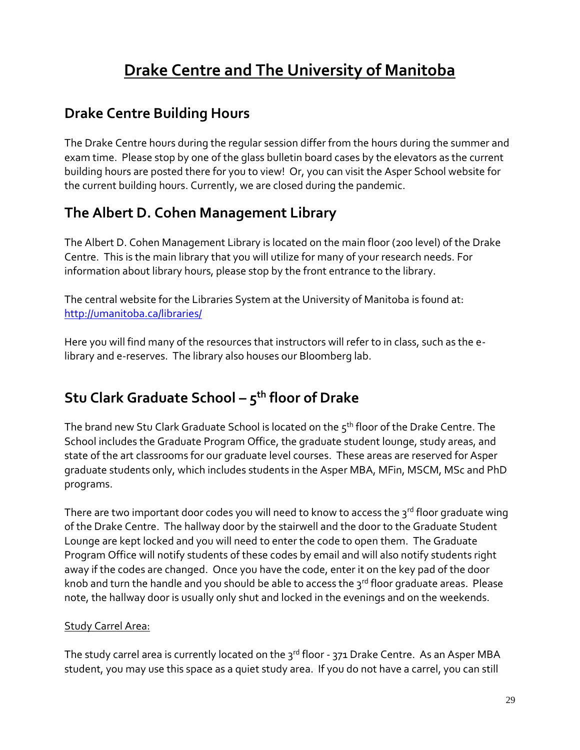# **Drake Centre and The University of Manitoba**

## **Drake Centre Building Hours**

The Drake Centre hours during the regular session differ from the hours during the summer and exam time. Please stop by one of the glass bulletin board cases by the elevators as the current building hours are posted there for you to view! Or, you can visit the Asper School website for the current building hours. Currently, we are closed during the pandemic.

## **The Albert D. Cohen Management Library**

The Albert D. Cohen Management Library is located on the main floor (200 level) of the Drake Centre. This is the main library that you will utilize for many of your research needs. For information about library hours, please stop by the front entrance to the library.

The central website for the Libraries System at the University of Manitoba is found at: <http://umanitoba.ca/libraries/>

Here you will find many of the resources that instructors will refer to in class, such as the elibrary and e-reserves. The library also houses our Bloomberg lab.

# **Stu Clark Graduate School – 5 th floor of Drake**

The brand new Stu Clark Graduate School is located on the  $5<sup>th</sup>$  floor of the Drake Centre. The School includes the Graduate Program Office, the graduate student lounge, study areas, and state of the art classrooms for our graduate level courses. These areas are reserved for Asper graduate students only, which includes students in the Asper MBA, MFin, MSCM, MSc and PhD programs.

There are two important door codes you will need to know to access the  $3^{rd}$  floor graduate wing of the Drake Centre. The hallway door by the stairwell and the door to the Graduate Student Lounge are kept locked and you will need to enter the code to open them. The Graduate Program Office will notify students of these codes by email and will also notify students right away if the codes are changed. Once you have the code, enter it on the key pad of the door knob and turn the handle and you should be able to access the  $3^{rd}$  floor graduate areas. Please note, the hallway door is usually only shut and locked in the evenings and on the weekends.

## Study Carrel Area:

The study carrel area is currently located on the 3<sup>rd</sup> floor - 371 Drake Centre. As an Asper MBA student, you may use this space as a quiet study area. If you do not have a carrel, you can still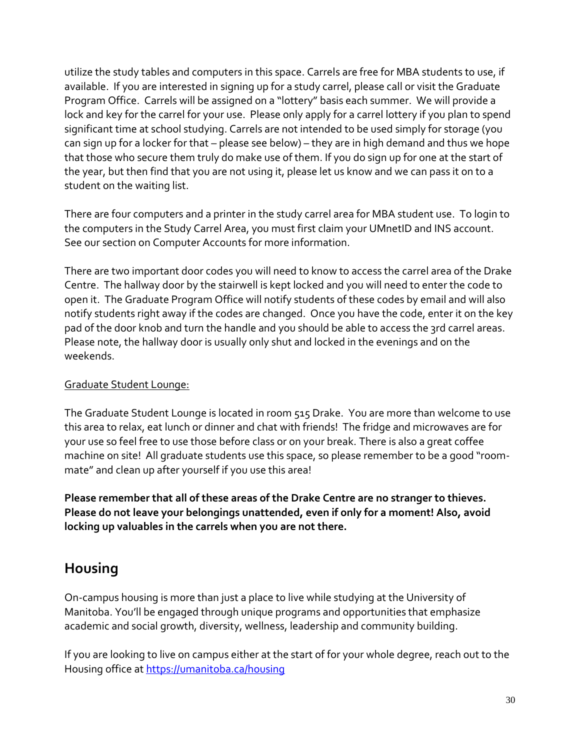utilize the study tables and computers in this space. Carrels are free for MBA students to use, if available. If you are interested in signing up for a study carrel, please call or visit the Graduate Program Office. Carrels will be assigned on a "lottery" basis each summer. We will provide a lock and key for the carrel for your use. Please only apply for a carrel lottery if you plan to spend significant time at school studying. Carrels are not intended to be used simply for storage (you can sign up for a locker for that – please see below) – they are in high demand and thus we hope that those who secure them truly do make use of them. If you do sign up for one at the start of the year, but then find that you are not using it, please let us know and we can pass it on to a student on the waiting list.

There are four computers and a printer in the study carrel area for MBA student use. To login to the computers in the Study Carrel Area, you must first claim your UMnetID and INS account. See our section on Computer Accounts for more information.

There are two important door codes you will need to know to access the carrel area of the Drake Centre. The hallway door by the stairwell is kept locked and you will need to enter the code to open it. The Graduate Program Office will notify students of these codes by email and will also notify students right away if the codes are changed. Once you have the code, enter it on the key pad of the door knob and turn the handle and you should be able to access the 3rd carrel areas. Please note, the hallway door is usually only shut and locked in the evenings and on the weekends.

## Graduate Student Lounge:

The Graduate Student Lounge is located in room 515 Drake. You are more than welcome to use this area to relax, eat lunch or dinner and chat with friends! The fridge and microwaves are for your use so feel free to use those before class or on your break. There is also a great coffee machine on site! All graduate students use this space, so please remember to be a good "roommate" and clean up after yourself if you use this area!

**Please remember that all of these areas of the Drake Centre are no stranger to thieves. Please do not leave your belongings unattended, even if only for a moment! Also, avoid locking up valuables in the carrels when you are not there.**

## **Housing**

On-campus housing is more than just a place to live while studying at the University of Manitoba. You'll be engaged through unique programs and opportunities that emphasize academic and social growth, diversity, wellness, leadership and community building.

If you are looking to live on campus either at the start of for your whole degree, reach out to the Housing office at<https://umanitoba.ca/housing>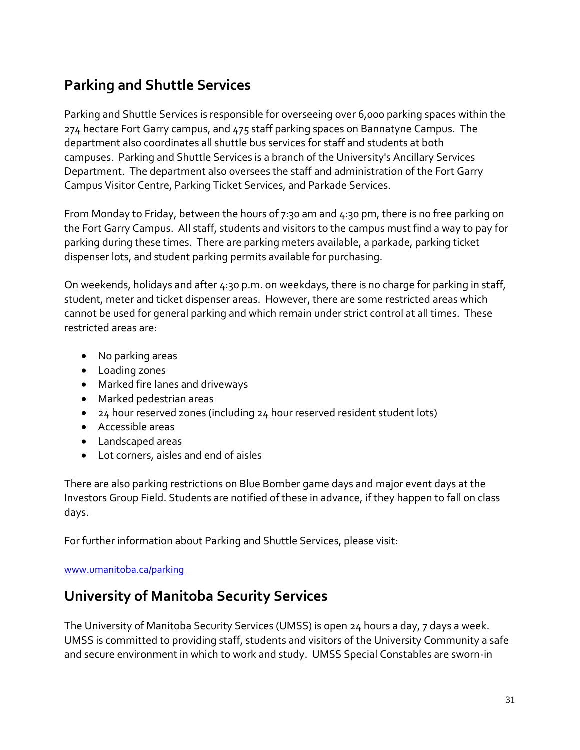## **Parking and Shuttle Services**

Parking and Shuttle Services is responsible for overseeing over 6,000 parking spaces within the 274 hectare Fort Garry campus, and 475 staff parking spaces on Bannatyne Campus. The department also coordinates all shuttle bus services for staff and students at both campuses. Parking and Shuttle Services is a branch of the University's Ancillary Services Department. The department also oversees the staff and administration of the Fort Garry Campus Visitor Centre, Parking Ticket Services, and Parkade Services.

From Monday to Friday, between the hours of 7:30 am and 4:30 pm, there is no free parking on the Fort Garry Campus. All staff, students and visitors to the campus must find a way to pay for parking during these times. There are parking meters available, a parkade, parking ticket dispenser lots, and student parking permits available for purchasing.

On weekends, holidays and after 4:30 p.m. on weekdays, there is no charge for parking in staff, student, meter and ticket dispenser areas. However, there are some restricted areas which cannot be used for general parking and which remain under strict control at all times. These restricted areas are:

- No parking areas
- Loading zones
- Marked fire lanes and driveways
- Marked pedestrian areas
- 24 hour reserved zones (including 24 hour reserved resident student lots)
- Accessible areas
- Landscaped areas
- Lot corners, aisles and end of aisles

There are also parking restrictions on Blue Bomber game days and major event days at the Investors Group Field. Students are notified of these in advance, if they happen to fall on class days.

For further information about Parking and Shuttle Services, please visit:

#### [www.umanitoba.ca/parking](http://www.umanitoba.ca/parking)

## **University of Manitoba Security Services**

The University of Manitoba Security Services (UMSS) is open 24 hours a day, 7 days a week. UMSS is committed to providing staff, students and visitors of the University Community a safe and secure environment in which to work and study. UMSS Special Constables are sworn-in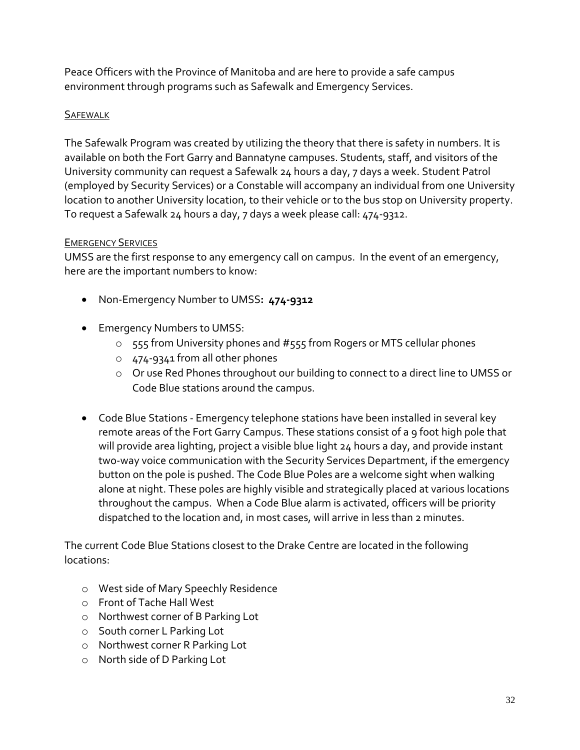Peace Officers with the Province of Manitoba and are here to provide a safe campus environment through programs such as Safewalk and Emergency Services.

### **SAFEWALK**

The Safewalk Program was created by utilizing the theory that there is safety in numbers. It is available on both the Fort Garry and Bannatyne campuses. Students, staff, and visitors of the University community can request a Safewalk 24 hours a day, 7 days a week. Student Patrol (employed by Security Services) or a Constable will accompany an individual from one University location to another University location, to their vehicle or to the bus stop on University property. To request a Safewalk 24 hours a day, 7 days a week please call: 474-9312.

#### EMERGENCY SERVICES

UMSS are the first response to any emergency call on campus. In the event of an emergency, here are the important numbers to know:

- Non-Emergency Number to UMSS**: 474-9312**
- **•** Emergency Numbers to UMSS:
	- o 555 from University phones and #555 from Rogers or MTS cellular phones
	- o 474-9341 from all other phones
	- o Or use Red Phones throughout our building to connect to a direct line to UMSS or Code Blue stations around the campus.
- Code Blue Stations Emergency telephone stations have been installed in several key remote areas of the Fort Garry Campus. These stations consist of a 9 foot high pole that will provide area lighting, project a visible blue light 24 hours a day, and provide instant two-way voice communication with the Security Services Department, if the emergency button on the pole is pushed. The Code Blue Poles are a welcome sight when walking alone at night. These poles are highly visible and strategically placed at various locations throughout the campus. When a Code Blue alarm is activated, officers will be priority dispatched to the location and, in most cases, will arrive in less than 2 minutes.

The current Code Blue Stations closest to the Drake Centre are located in the following locations:

- o West side of Mary Speechly Residence
- o Front of Tache Hall West
- o Northwest corner of B Parking Lot
- o South corner L Parking Lot
- o Northwest corner R Parking Lot
- o North side of D Parking Lot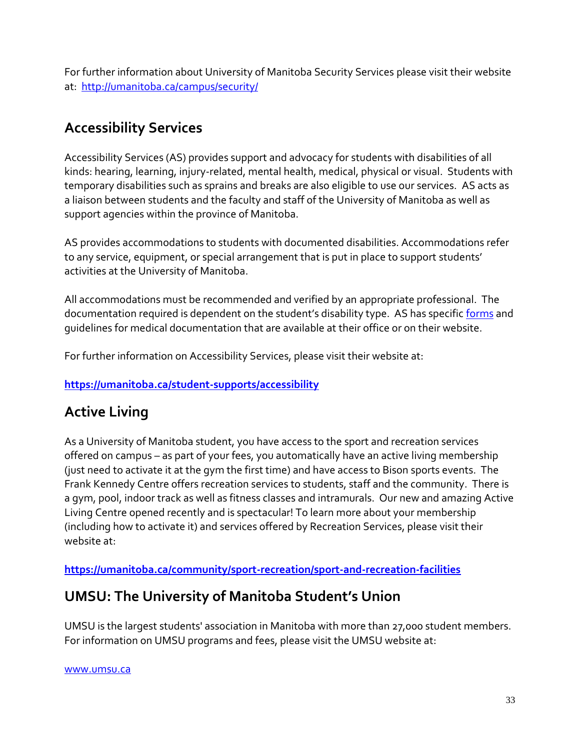For further information about University of Manitoba Security Services please visit their website at: <http://umanitoba.ca/campus/security/>

## **Accessibility Services**

Accessibility Services (AS) provides support and advocacy for students with disabilities of all kinds: hearing, learning, injury-related, mental health, medical, physical or visual. Students with temporary disabilities such as sprains and breaks are also eligible to use our services. AS acts as a liaison between students and the faculty and staff of the University of Manitoba as well as support agencies within the province of Manitoba.

AS provides accommodations to students with documented disabilities. Accommodations refer to any service, equipment, or special arrangement that is put in place to support students' activities at the University of Manitoba.

All accommodations must be recommended and verified by an appropriate professional. The documentation required is dependent on the student's disability type. AS has specific [forms](http://umanitoba.ca/student/resource/disability_services/forms.html) and guidelines for medical documentation that are available at their office or on their website.

For further information on Accessibility Services, please visit their website at:

## **<https://umanitoba.ca/student-supports/accessibility>**

## **Active Living**

As a University of Manitoba student, you have access to the sport and recreation services offered on campus – as part of your fees, you automatically have an active living membership (just need to activate it at the gym the first time) and have access to Bison sports events. The Frank Kennedy Centre offers recreation services to students, staff and the community. There is a gym, pool, indoor track as well as fitness classes and intramurals. Our new and amazing Active Living Centre opened recently and is spectacular! To learn more about your membership (including how to activate it) and services offered by Recreation Services, please visit their website at:

**https://umanitoba.ca/community/sport-recreation/sport-and-recreation-facilities**

## **UMSU: The University of Manitoba Student's Union**

UMSU is the largest students' association in Manitoba with more than 27,000 student members. For information on UMSU programs and fees, please visit the UMSU website at:

[www.umsu.ca](http://www.umsu.ca/)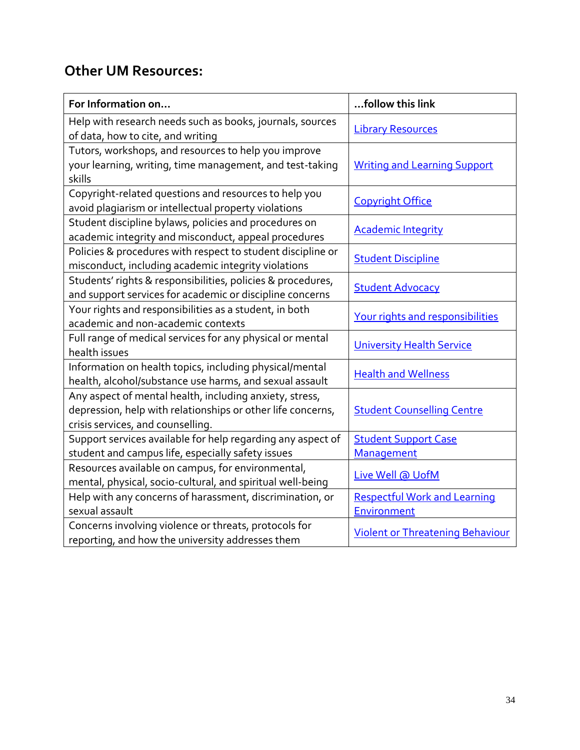## **Other UM Resources:**

| For Information on                                                                                                                                          | follow this link                                   |  |
|-------------------------------------------------------------------------------------------------------------------------------------------------------------|----------------------------------------------------|--|
| Help with research needs such as books, journals, sources<br>of data, how to cite, and writing                                                              | <b>Library Resources</b>                           |  |
| Tutors, workshops, and resources to help you improve<br>your learning, writing, time management, and test-taking<br>skills                                  | <b>Writing and Learning Support</b>                |  |
| Copyright-related questions and resources to help you<br>avoid plagiarism or intellectual property violations                                               | <b>Copyright Office</b>                            |  |
| Student discipline bylaws, policies and procedures on<br>academic integrity and misconduct, appeal procedures                                               | <b>Academic Integrity</b>                          |  |
| Policies & procedures with respect to student discipline or<br>misconduct, including academic integrity violations                                          | <b>Student Discipline</b>                          |  |
| Students' rights & responsibilities, policies & procedures,<br>and support services for academic or discipline concerns                                     | <b>Student Advocacy</b>                            |  |
| Your rights and responsibilities as a student, in both<br>academic and non-academic contexts                                                                | Your rights and responsibilities                   |  |
| Full range of medical services for any physical or mental<br>health issues                                                                                  | <b>University Health Service</b>                   |  |
| Information on health topics, including physical/mental<br>health, alcohol/substance use harms, and sexual assault                                          | <b>Health and Wellness</b>                         |  |
| Any aspect of mental health, including anxiety, stress,<br>depression, help with relationships or other life concerns,<br>crisis services, and counselling. | <b>Student Counselling Centre</b>                  |  |
| Support services available for help regarding any aspect of<br>student and campus life, especially safety issues                                            | <b>Student Support Case</b><br>Management          |  |
| Resources available on campus, for environmental,<br>mental, physical, socio-cultural, and spiritual well-being                                             | Live Well @ UofM                                   |  |
| Help with any concerns of harassment, discrimination, or<br>sexual assault                                                                                  | <b>Respectful Work and Learning</b><br>Environment |  |
| Concerns involving violence or threats, protocols for<br>reporting, and how the university addresses them                                                   | <b>Violent or Threatening Behaviour</b>            |  |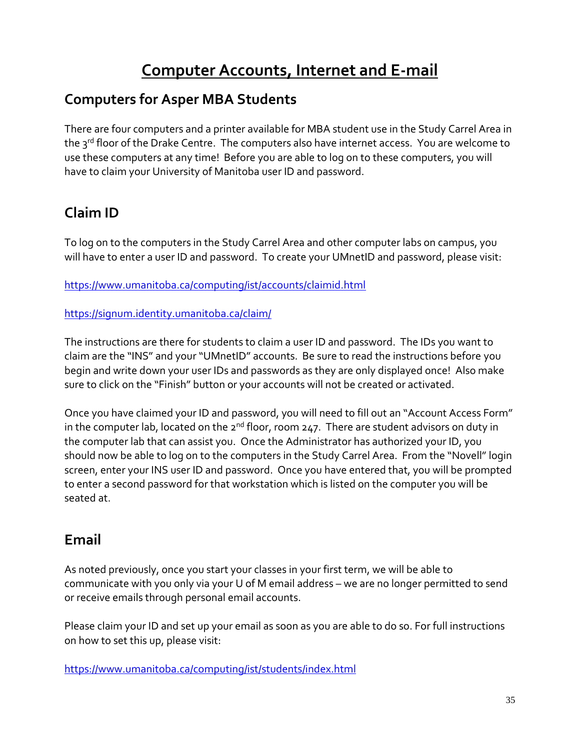# **Computer Accounts, Internet and E-mail**

## **Computers for Asper MBA Students**

There are four computers and a printer available for MBA student use in the Study Carrel Area in the 3rd floor of the Drake Centre. The computers also have internet access. You are welcome to use these computers at any time! Before you are able to log on to these computers, you will have to claim your University of Manitoba user ID and password.

# **Claim ID**

To log on to the computers in the Study Carrel Area and other computer labs on campus, you will have to enter a user ID and password. To create your UMnetID and password, please visit:

<https://www.umanitoba.ca/computing/ist/accounts/claimid.html>

## <https://signum.identity.umanitoba.ca/claim/>

The instructions are there for students to claim a user ID and password. The IDs you want to claim are the "INS" and your "UMnetID" accounts. Be sure to read the instructions before you begin and write down your user IDs and passwords as they are only displayed once! Also make sure to click on the "Finish" button or your accounts will not be created or activated.

Once you have claimed your ID and password, you will need to fill out an "Account Access Form" in the computer lab, located on the  $2^{nd}$  floor, room  $247$ . There are student advisors on duty in the computer lab that can assist you. Once the Administrator has authorized your ID, you should now be able to log on to the computers in the Study Carrel Area. From the "Novell" login screen, enter your INS user ID and password. Once you have entered that, you will be prompted to enter a second password for that workstation which is listed on the computer you will be seated at.

## **Email**

As noted previously, once you start your classes in your first term, we will be able to communicate with you only via your U of M email address – we are no longer permitted to send or receive emails through personal email accounts.

Please claim your ID and set up your email as soon as you are able to do so. For full instructions on how to set this up, please visit:

<https://www.umanitoba.ca/computing/ist/students/index.html>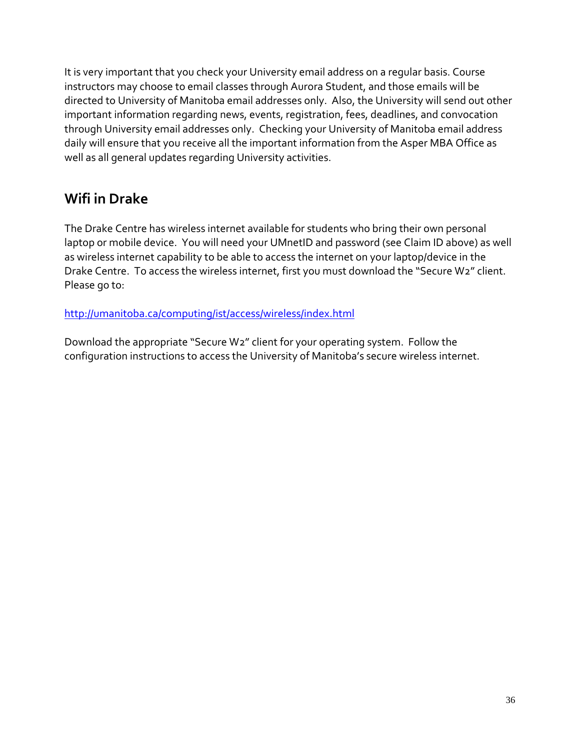It is very important that you check your University email address on a regular basis. Course instructors may choose to email classes through Aurora Student, and those emails will be directed to University of Manitoba email addresses only. Also, the University will send out other important information regarding news, events, registration, fees, deadlines, and convocation through University email addresses only. Checking your University of Manitoba email address daily will ensure that you receive all the important information from the Asper MBA Office as well as all general updates regarding University activities.

## **Wifi in Drake**

The Drake Centre has wireless internet available for students who bring their own personal laptop or mobile device. You will need your UMnetID and password (see Claim ID above) as well as wireless internet capability to be able to access the internet on your laptop/device in the Drake Centre. To access the wireless internet, first you must download the "Secure W2" client. Please go to:

<http://umanitoba.ca/computing/ist/access/wireless/index.html>

Download the appropriate "Secure W2" client for your operating system. Follow the configuration instructions to access the University of Manitoba's secure wireless internet.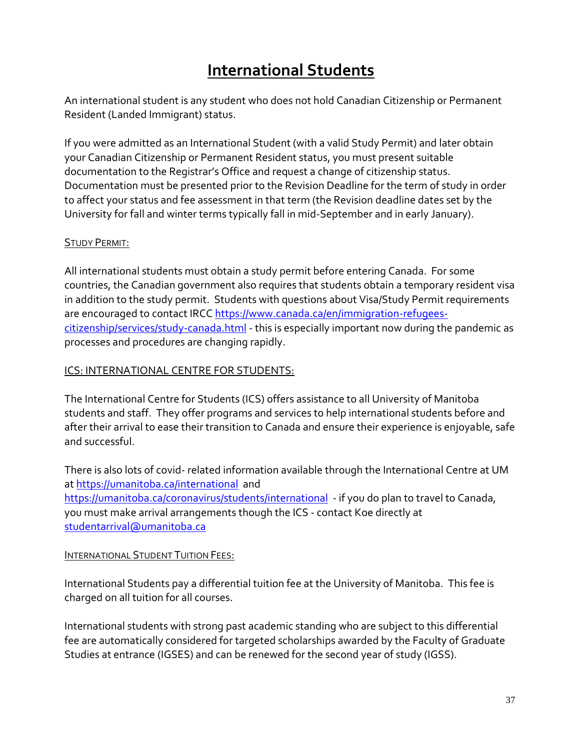# **International Students**

An international student is any student who does not hold Canadian Citizenship or Permanent Resident (Landed Immigrant) status.

If you were admitted as an International Student (with a valid Study Permit) and later obtain your Canadian Citizenship or Permanent Resident status, you must present suitable documentation to the Registrar's Office and request a change of citizenship status. Documentation must be presented prior to the Revision Deadline for the term of study in order to affect your status and fee assessment in that term (the Revision deadline dates set by the University for fall and winter terms typically fall in mid-September and in early January).

### STUDY PERMIT:

All international students must obtain a study permit before entering Canada. For some countries, the Canadian government also requires that students obtain a temporary resident visa in addition to the study permit. Students with questions about Visa/Study Permit requirements are encouraged to contact IRCC [https://www.canada.ca/en/immigration-refugees](https://www.canada.ca/en/immigration-refugees-citizenship/services/study-canada.html)[citizenship/services/study-canada.html](https://www.canada.ca/en/immigration-refugees-citizenship/services/study-canada.html) - this is especially important now during the pandemic as processes and procedures are changing rapidly.

### ICS: INTERNATIONAL CENTRE FOR STUDENTS:

The International Centre for Students (ICS) offers assistance to all University of Manitoba students and staff. They offer programs and services to help international students before and after their arrival to ease their transition to Canada and ensure their experience is enjoyable, safe and successful.

There is also lots of covid- related information available through the International Centre at UM a[t https://umanitoba.ca/international](https://umanitoba.ca/international) and <https://umanitoba.ca/coronavirus/students/international>- if you do plan to travel to Canada, you must make arrival arrangements though the ICS - contact Koe directly at [studentarrival@umanitoba.ca](mailto:studentarrival@umanitoba.ca)

#### INTERNATIONAL STUDENT TUITION FEES:

International Students pay a differential tuition fee at the University of Manitoba. This fee is charged on all tuition for all courses.

International students with strong past academic standing who are subject to this differential fee are automatically considered for targeted scholarships awarded by the Faculty of Graduate Studies at entrance (IGSES) and can be renewed for the second year of study (IGSS).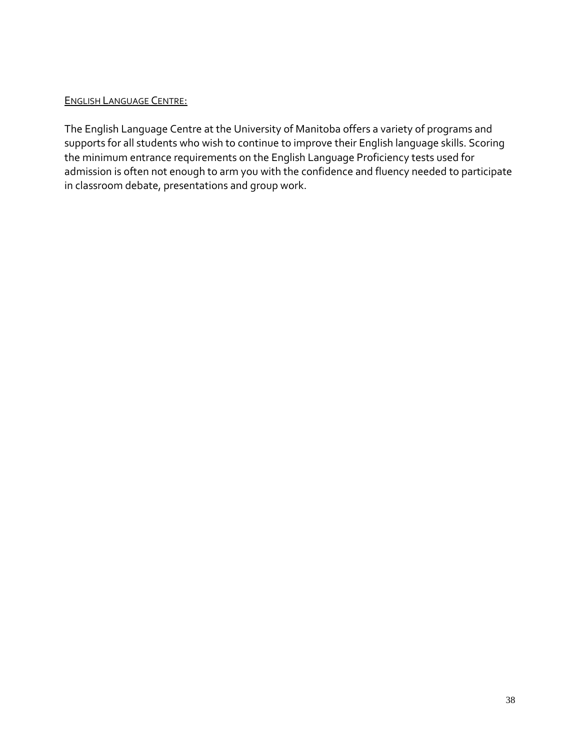#### ENGLISH LANGUAGE CENTRE:

The English Language Centre at the University of Manitoba offers a variety of programs and supports for all students who wish to continue to improve their English language skills. Scoring the minimum entrance requirements on the English Language Proficiency tests used for admission is often not enough to arm you with the confidence and fluency needed to participate in classroom debate, presentations and group work.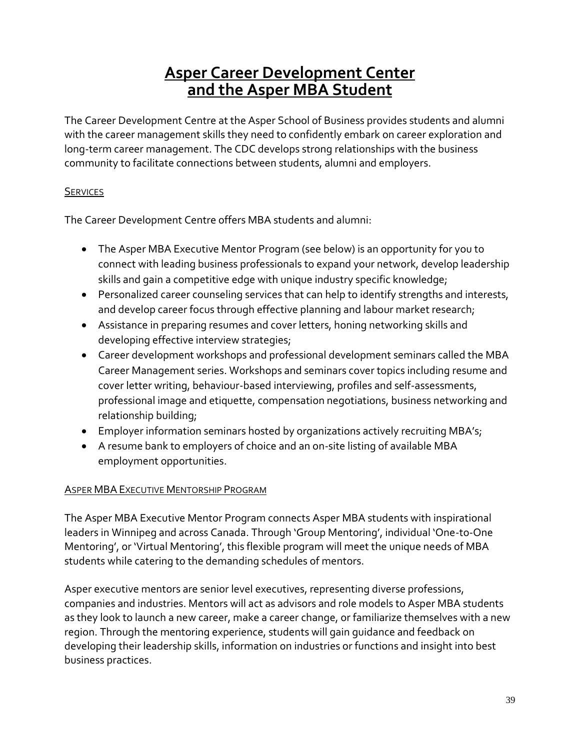# **Asper Career Development Center and the Asper MBA Student**

The Career Development Centre at the Asper School of Business provides students and alumni with the career management skills they need to confidently embark on career exploration and long-term career management. The CDC develops strong relationships with the business community to facilitate connections between students, alumni and employers.

## **SERVICES**

The Career Development Centre offers MBA students and alumni:

- The Asper MBA Executive Mentor Program (see below) is an opportunity for you to connect with leading business professionals to expand your network, develop leadership skills and gain a competitive edge with unique industry specific knowledge;
- Personalized career counseling services that can help to identify strengths and interests, and develop career focus through effective planning and labour market research;
- Assistance in preparing resumes and cover letters, honing networking skills and developing effective interview strategies;
- Career development workshops and professional development seminars called the MBA Career Management series. Workshops and seminars cover topics including resume and cover letter writing, behaviour-based interviewing, profiles and self-assessments, professional image and etiquette, compensation negotiations, business networking and relationship building;
- Employer information seminars hosted by organizations actively recruiting MBA's;
- A resume bank to employers of choice and an on-site listing of available MBA employment opportunities.

## ASPER MBA EXECUTIVE MENTORSHIP PROGRAM

The Asper MBA Executive Mentor Program connects Asper MBA students with inspirational leaders in Winnipeg and across Canada. Through 'Group Mentoring', individual 'One-to-One Mentoring', or 'Virtual Mentoring', this flexible program will meet the unique needs of MBA students while catering to the demanding schedules of mentors.

Asper executive mentors are senior level executives, representing diverse professions, companies and industries. Mentors will act as advisors and role models to Asper MBA students as they look to launch a new career, make a career change, or familiarize themselves with a new region. Through the mentoring experience, students will gain guidance and feedback on developing their leadership skills, information on industries or functions and insight into best business practices.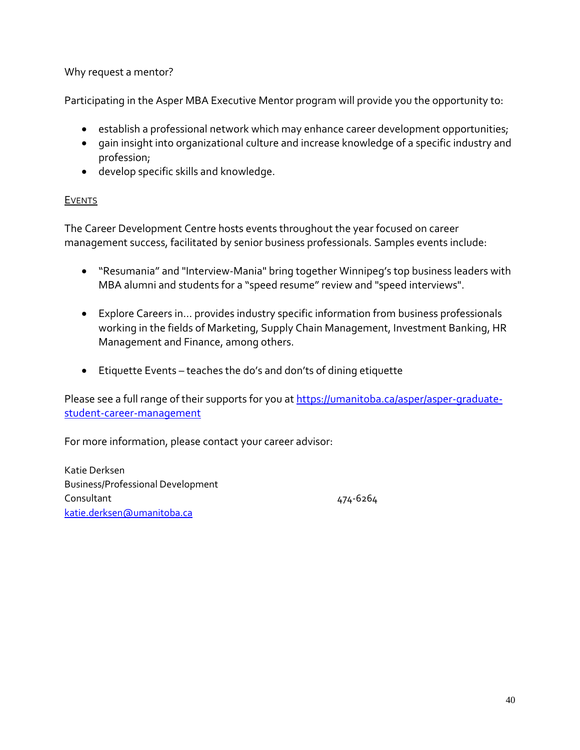Why request a mentor?

Participating in the Asper MBA Executive Mentor program will provide you the opportunity to:

- **•** establish a professional network which may enhance career development opportunities;
- gain insight into organizational culture and increase knowledge of a specific industry and profession;
- develop specific skills and knowledge.

## **EVENTS**

The Career Development Centre hosts events throughout the year focused on career management success, facilitated by senior business professionals. Samples events include:

- "Resumania" and "Interview-Mania" bring together Winnipeg's top business leaders with MBA alumni and students for a "speed resume" review and "speed interviews".
- Explore Careers in… provides industry specific information from business professionals working in the fields of Marketing, Supply Chain Management, Investment Banking, HR Management and Finance, among others.
- Etiquette Events teaches the do's and don'ts of dining etiquette

Please see a full range of their supports for you at [https://umanitoba.ca/asper/asper-graduate](https://umanitoba.ca/asper/asper-graduate-student-career-management)[student-career-management](https://umanitoba.ca/asper/asper-graduate-student-career-management)

For more information, please contact your career advisor:

Katie Derksen Business/Professional Development Consultant 474-6264 [katie.derksen@umanitoba.ca](mailto:katie.derksen@umanitoba.ca)